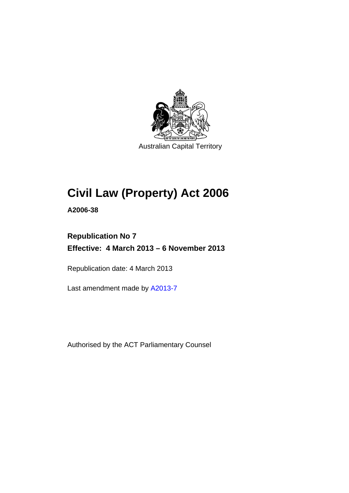

Australian Capital Territory

# **Civil Law (Property) Act 2006**

**A2006-38** 

# **Republication No 7 Effective: 4 March 2013 – 6 November 2013**

Republication date: 4 March 2013

Last amendment made by [A2013-7](http://www.legislation.act.gov.au/a/2013-7)

Authorised by the ACT Parliamentary Counsel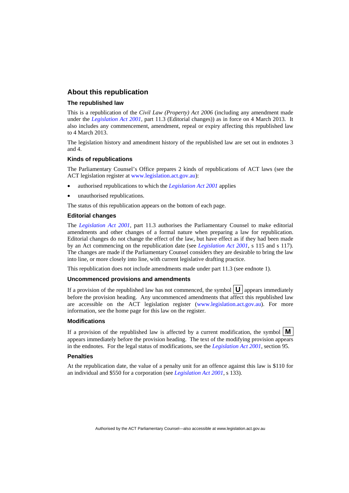#### **About this republication**

#### **The republished law**

This is a republication of the *Civil Law (Property) Act 2006* (including any amendment made under the *[Legislation Act 2001](http://www.legislation.act.gov.au/a/2001-14)*, part 11.3 (Editorial changes)) as in force on 4 March 2013*.* It also includes any commencement, amendment, repeal or expiry affecting this republished law to 4 March 2013.

The legislation history and amendment history of the republished law are set out in endnotes 3 and 4.

#### **Kinds of republications**

The Parliamentary Counsel's Office prepares 2 kinds of republications of ACT laws (see the ACT legislation register at [www.legislation.act.gov.au](http://www.legislation.act.gov.au/)):

- authorised republications to which the *[Legislation Act 2001](http://www.legislation.act.gov.au/a/2001-14)* applies
- unauthorised republications.

The status of this republication appears on the bottom of each page.

#### **Editorial changes**

The *[Legislation Act 2001](http://www.legislation.act.gov.au/a/2001-14)*, part 11.3 authorises the Parliamentary Counsel to make editorial amendments and other changes of a formal nature when preparing a law for republication. Editorial changes do not change the effect of the law, but have effect as if they had been made by an Act commencing on the republication date (see *[Legislation Act 2001](http://www.legislation.act.gov.au/a/2001-14)*, s 115 and s 117). The changes are made if the Parliamentary Counsel considers they are desirable to bring the law into line, or more closely into line, with current legislative drafting practice.

This republication does not include amendments made under part 11.3 (see endnote 1).

#### **Uncommenced provisions and amendments**

If a provision of the republished law has not commenced, the symbol  $\mathbf{U}$  appears immediately before the provision heading. Any uncommenced amendments that affect this republished law are accessible on the ACT legislation register [\(www.legislation.act.gov.au\)](http://www.legislation.act.gov.au/). For more information, see the home page for this law on the register.

#### **Modifications**

If a provision of the republished law is affected by a current modification, the symbol  $\mathbf{M}$ appears immediately before the provision heading. The text of the modifying provision appears in the endnotes. For the legal status of modifications, see the *[Legislation Act 2001](http://www.legislation.act.gov.au/a/2001-14)*, section 95.

#### **Penalties**

At the republication date, the value of a penalty unit for an offence against this law is \$110 for an individual and \$550 for a corporation (see *[Legislation Act 2001](http://www.legislation.act.gov.au/a/2001-14)*, s 133).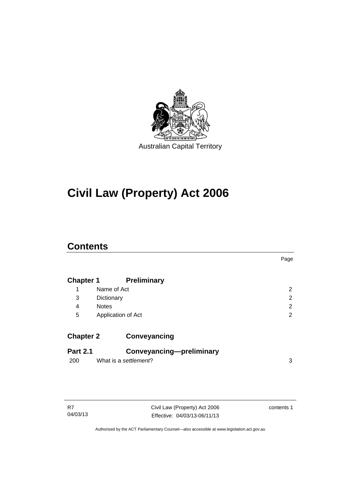

# **Civil Law (Property) Act 2006**

# **Contents**

|                  |                          | Page           |
|------------------|--------------------------|----------------|
| <b>Chapter 1</b> | <b>Preliminary</b>       |                |
| 1                | Name of Act              | $\overline{2}$ |
| 3                | Dictionary               | 2              |
| 4                | <b>Notes</b>             | 2              |
| 5                | Application of Act       | $\overline{2}$ |
| <b>Chapter 2</b> | Conveyancing             |                |
| <b>Part 2.1</b>  | Conveyancing-preliminary |                |
| 200              | What is a settlement?    | 3              |
|                  |                          |                |

| R7       |  |
|----------|--|
| 04/03/13 |  |

Civil Law (Property) Act 2006 Effective: 04/03/13-06/11/13 contents 1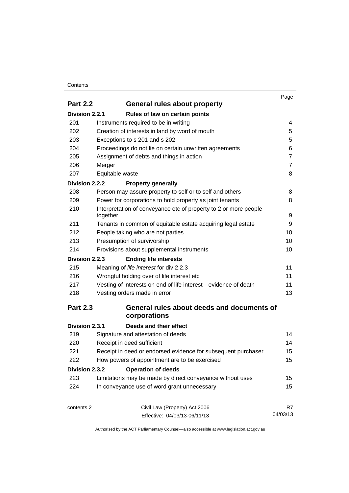#### **Contents**

|                 |                                                                  | Page           |
|-----------------|------------------------------------------------------------------|----------------|
| <b>Part 2.2</b> | <b>General rules about property</b>                              |                |
| Division 2.2.1  | Rules of law on certain points                                   |                |
| 201             | Instruments required to be in writing                            | 4              |
| 202             | Creation of interests in land by word of mouth                   | 5              |
| 203             | Exceptions to s 201 and s 202                                    | 5              |
| 204             | Proceedings do not lie on certain unwritten agreements           | 6              |
| 205             | Assignment of debts and things in action                         | $\overline{7}$ |
| 206             | Merger                                                           | $\overline{7}$ |
| 207             | Equitable waste                                                  | 8              |
| Division 2.2.2  | <b>Property generally</b>                                        |                |
| 208             | Person may assure property to self or to self and others         | 8              |
| 209             | Power for corporations to hold property as joint tenants         | 8              |
| 210             | Interpretation of conveyance etc of property to 2 or more people |                |
|                 | together                                                         | 9              |
| 211             | Tenants in common of equitable estate acquiring legal estate     | 9              |
| 212             | People taking who are not parties                                | 10             |
| 213             | Presumption of survivorship                                      | 10             |
| 214             | Provisions about supplemental instruments                        | 10             |
| Division 2.2.3  | <b>Ending life interests</b>                                     |                |
| 215             | Meaning of life interest for div 2.2.3                           | 11             |
| 216             | Wrongful holding over of life interest etc                       | 11             |
| 217             | Vesting of interests on end of life interest-evidence of death   | 11             |
| 218             | Vesting orders made in error                                     | 13             |
| <b>Part 2.3</b> | General rules about deeds and documents of                       |                |
|                 | corporations                                                     |                |
| Division 2.3.1  | Deeds and their effect                                           |                |
| 219             | Signature and attestation of deeds                               | 14             |
| 220             | Receipt in deed sufficient                                       | 14             |
| 221             | Receipt in deed or endorsed evidence for subsequent purchaser    | 15             |
| 222             | How powers of appointment are to be exercised                    | 15             |
| Division 2.3.2  | <b>Operation of deeds</b>                                        |                |
| 223             | Limitations may be made by direct conveyance without uses        | 15             |
| 224             | In conveyance use of word grant unnecessary                      | 15             |
| contents 2      | Civil Law (Property) Act 2006                                    | R7             |
|                 | Effective: 04/03/13-06/11/13                                     | 04/03/13       |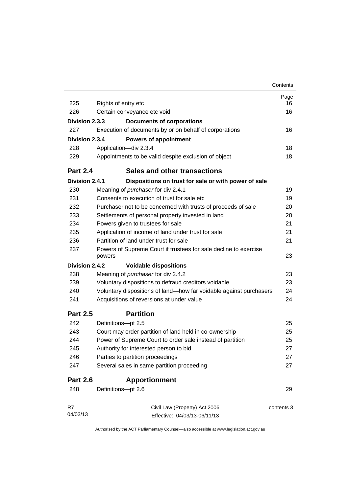|                 |                                                                            | Contents   |
|-----------------|----------------------------------------------------------------------------|------------|
|                 |                                                                            | Page       |
| 225             | Rights of entry etc                                                        | 16         |
| 226             | Certain conveyance etc void                                                | 16         |
| Division 2.3.3  | <b>Documents of corporations</b>                                           |            |
| 227             | Execution of documents by or on behalf of corporations                     | 16         |
| Division 2.3.4  | <b>Powers of appointment</b>                                               |            |
| 228             | Application-div 2.3.4                                                      | 18         |
| 229             | Appointments to be valid despite exclusion of object                       | 18         |
| <b>Part 2.4</b> | Sales and other transactions                                               |            |
| Division 2.4.1  | Dispositions on trust for sale or with power of sale                       |            |
| 230             | Meaning of purchaser for div 2.4.1                                         | 19         |
| 231             | Consents to execution of trust for sale etc                                | 19         |
| 232             | Purchaser not to be concerned with trusts of proceeds of sale              | 20         |
| 233             | Settlements of personal property invested in land                          | 20         |
| 234             | Powers given to trustees for sale                                          | 21         |
| 235             | Application of income of land under trust for sale                         | 21         |
| 236             | Partition of land under trust for sale                                     | 21         |
| 237             | Powers of Supreme Court if trustees for sale decline to exercise<br>powers | 23         |
| Division 2.4.2  | <b>Voidable dispositions</b>                                               |            |
| 238             | Meaning of purchaser for div 2.4.2                                         | 23         |
| 239             | Voluntary dispositions to defraud creditors voidable                       | 23         |
| 240             | Voluntary dispositions of land-how far voidable against purchasers         | 24         |
| 241             | Acquisitions of reversions at under value                                  | 24         |
| <b>Part 2.5</b> | <b>Partition</b>                                                           |            |
| 242             | Definitions-pt 2.5                                                         | 25         |
| 243             | Court may order partition of land held in co-ownership                     | 25         |
| 244             | Power of Supreme Court to order sale instead of partition                  | 25         |
| 245             | Authority for interested person to bid                                     | 27         |
| 246             | Parties to partition proceedings                                           | 27         |
| 247             | Several sales in same partition proceeding                                 | 27         |
| <b>Part 2.6</b> | <b>Apportionment</b>                                                       |            |
| 248             | Definitions-pt 2.6                                                         | 29         |
| R7              | Civil Law (Property) Act 2006                                              | contents 3 |
| 04/03/13        | Effective: 04/03/13-06/11/13                                               |            |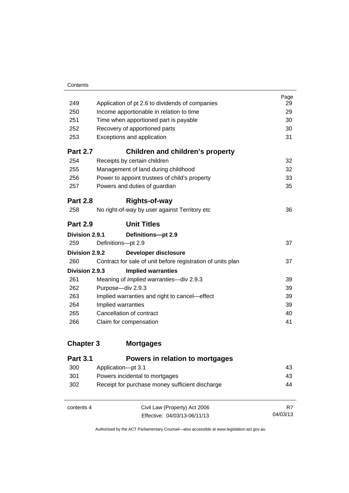|                                                             | Page<br>29                                                                                                                                                            |
|-------------------------------------------------------------|-----------------------------------------------------------------------------------------------------------------------------------------------------------------------|
|                                                             | 29                                                                                                                                                                    |
|                                                             | 30                                                                                                                                                                    |
|                                                             | 30                                                                                                                                                                    |
| Exceptions and application                                  | 31                                                                                                                                                                    |
| <b>Children and children's property</b>                     |                                                                                                                                                                       |
| Receipts by certain children                                | 32                                                                                                                                                                    |
| Management of land during childhood                         | 32                                                                                                                                                                    |
| Power to appoint trustees of child's property               | 33                                                                                                                                                                    |
| Powers and duties of guardian                               | 35                                                                                                                                                                    |
| <b>Rights-of-way</b>                                        |                                                                                                                                                                       |
| No right-of-way by user against Territory etc               | 36                                                                                                                                                                    |
| <b>Unit Titles</b>                                          |                                                                                                                                                                       |
| Division 2.9.1<br>Definitions-pt 2.9                        |                                                                                                                                                                       |
| Definitions-pt 2.9                                          | 37                                                                                                                                                                    |
| Division 2.9.2<br>Developer disclosure                      |                                                                                                                                                                       |
| Contract for sale of unit before registration of units plan | 37                                                                                                                                                                    |
| Division 2.9.3<br><b>Implied warranties</b>                 |                                                                                                                                                                       |
| Meaning of <i>implied warranties</i> -div 2.9.3             | 39                                                                                                                                                                    |
| Purpose-div 2.9.3                                           | 39                                                                                                                                                                    |
| Implied warranties and right to cancel—effect               | 39                                                                                                                                                                    |
| Implied warranties                                          | 39                                                                                                                                                                    |
| Cancellation of contract                                    | 40                                                                                                                                                                    |
| Claim for compensation                                      | 41                                                                                                                                                                    |
|                                                             | Application of pt 2.6 to dividends of companies<br>Income apportionable in relation to time<br>Time when apportioned part is payable<br>Recovery of apportioned parts |

# **Chapter 3 [Mortgages](#page-52-0)**

| <b>Part 3.1</b> | Powers in relation to mortgages                 |          |
|-----------------|-------------------------------------------------|----------|
| 300             | Application-pt 3.1                              | 43       |
| 301             | Powers incidental to mortgages                  | 43       |
| 302             | Receipt for purchase money sufficient discharge | 44       |
|                 |                                                 |          |
| contents 4      | Civil Law (Property) Act 2006                   | R7       |
|                 | Effective: 04/03/13-06/11/13                    | 04/03/13 |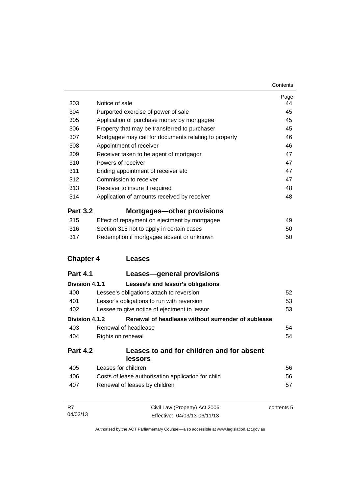| 303              | Notice of sale                                        | Page<br>44 |
|------------------|-------------------------------------------------------|------------|
| 304              | Purported exercise of power of sale                   | 45         |
| 305              | Application of purchase money by mortgagee            | 45         |
| 306              | Property that may be transferred to purchaser         | 45         |
| 307              | Mortgagee may call for documents relating to property | 46         |
| 308              | Appointment of receiver                               | 46         |
| 309              | Receiver taken to be agent of mortgagor               | 47         |
| 310              | Powers of receiver                                    | 47         |
| 311              | Ending appointment of receiver etc                    | 47         |
| 312              | Commission to receiver                                | 47         |
| 313              | Receiver to insure if required                        | 48         |
| 314              | Application of amounts received by receiver           | 48         |
| <b>Part 3.2</b>  | <b>Mortgages-other provisions</b>                     |            |
| 315              | Effect of repayment on ejectment by mortgagee         | 49         |
| 316              | Section 315 not to apply in certain cases             | 50         |
| 317              | Redemption if mortgagee absent or unknown             | 50         |
|                  |                                                       |            |
| <b>Chapter 4</b> | <b>Leases</b>                                         |            |
| <b>Part 4.1</b>  | Leases-general provisions                             |            |
| Division 4.1.1   | Lessee's and lessor's obligations                     |            |
| 400              | Lessee's obligations attach to reversion              | 52         |
| 401              | Lessor's obligations to run with reversion            | 53         |
| 402              | Lessee to give notice of ejectment to lessor          | 53         |
| Division 4.1.2   | Renewal of headlease without surrender of sublease    |            |
| 403              | Renewal of headlease                                  | 54         |
| 404              | Rights on renewal                                     | 54         |
| <b>Part 4.2</b>  | Leases to and for children and for absent<br>lessors  |            |
| 405              | Leases for children                                   | 56         |
| 406              | Costs of lease authorisation application for child    | 56         |
|                  |                                                       |            |
| 407              | Renewal of leases by children                         | 57         |
| R7               | Civil Law (Property) Act 2006                         | contents 5 |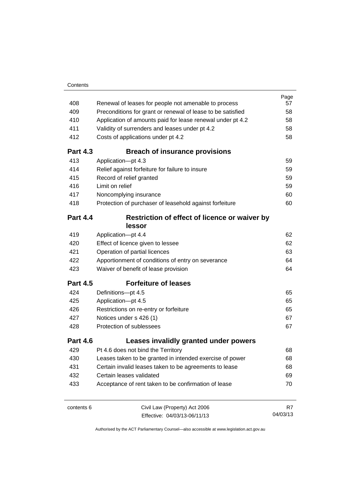| 408             | Renewal of leases for people not amenable to process        | Page<br>57 |
|-----------------|-------------------------------------------------------------|------------|
| 409             | Preconditions for grant or renewal of lease to be satisfied | 58         |
| 410             | Application of amounts paid for lease renewal under pt 4.2  | 58         |
| 411             | Validity of surrenders and leases under pt 4.2              | 58         |
| 412             | Costs of applications under pt 4.2                          | 58         |
| <b>Part 4.3</b> | <b>Breach of insurance provisions</b>                       |            |
| 413             | Application-pt 4.3                                          | 59         |
| 414             | Relief against forfeiture for failure to insure             | 59         |
| 415             | Record of relief granted                                    | 59         |
| 416             | Limit on relief                                             | 59         |
| 417             | Noncomplying insurance                                      | 60         |
| 418             | Protection of purchaser of leasehold against forfeiture     | 60         |
| <b>Part 4.4</b> | Restriction of effect of licence or waiver by<br>lessor     |            |
| 419             | Application-pt 4.4                                          | 62         |
| 420             | Effect of licence given to lessee                           | 62         |
| 421             | Operation of partial licences                               | 63         |
| 422             | Apportionment of conditions of entry on severance           | 64         |
| 423             | Waiver of benefit of lease provision                        | 64         |
| <b>Part 4.5</b> | <b>Forfeiture of leases</b>                                 |            |
| 424             | Definitions-pt 4.5                                          | 65         |
| 425             | Application-pt 4.5                                          | 65         |
| 426             | Restrictions on re-entry or forfeiture                      | 65         |
| 427             | Notices under s 426 (1)                                     | 67         |
| 428             | Protection of sublessees                                    | 67         |
| <b>Part 4.6</b> | Leases invalidly granted under powers                       |            |
| 429             | Pt 4.6 does not bind the Territory                          | 68         |
| 430             | Leases taken to be granted in intended exercise of power    | 68         |
| 431             | Certain invalid leases taken to be agreements to lease      | 68         |
| 432             | Certain leases validated                                    | 69         |
| 433             | Acceptance of rent taken to be confirmation of lease        | 70         |
| contents 6      | Civil Law (Property) Act 2006                               | R7         |

Effective: 04/03/13-06/11/13

04/03/13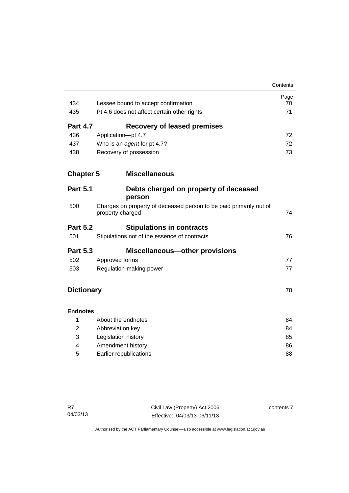|                   |                                                                                        | Contents |
|-------------------|----------------------------------------------------------------------------------------|----------|
|                   |                                                                                        | Page     |
| 434               | Lessee bound to accept confirmation                                                    | 70       |
| 435               | Pt 4.6 does not affect certain other rights                                            | 71       |
| <b>Part 4.7</b>   | <b>Recovery of leased premises</b>                                                     |          |
| 436               | Application-pt 4.7                                                                     | 72       |
| 437               | Who is an agent for pt 4.7?                                                            | 72       |
| 438               | Recovery of possession                                                                 | 73       |
| <b>Chapter 5</b>  | <b>Miscellaneous</b>                                                                   |          |
| <b>Part 5.1</b>   | Debts charged on property of deceased<br>person                                        |          |
| 500               | Charges on property of deceased person to be paid primarily out of<br>property charged | 74       |
| <b>Part 5.2</b>   | <b>Stipulations in contracts</b>                                                       |          |
| 501               | Stipulations not of the essence of contracts                                           | 76       |
| <b>Part 5.3</b>   | <b>Miscellaneous-other provisions</b>                                                  |          |
| 502               | Approved forms                                                                         | 77       |
| 503               | Regulation-making power                                                                | 77       |
| <b>Dictionary</b> |                                                                                        | 78       |
| <b>Endnotes</b>   |                                                                                        |          |
| 1                 | About the endnotes                                                                     | 84       |
| $\overline{2}$    | Abbreviation key                                                                       | 84       |
| 3                 | Legislation history                                                                    | 85       |
| 4                 | Amendment history                                                                      | 86       |
| 5                 | Earlier republications                                                                 | 88       |

contents 7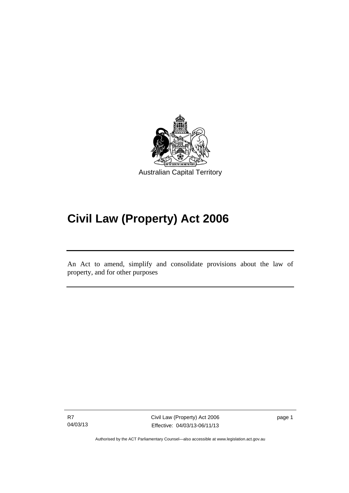

# **Civil Law (Property) Act 2006**

An Act to amend, simplify and consolidate provisions about the law of property, and for other purposes

R7 04/03/13

Ī

Civil Law (Property) Act 2006 Effective: 04/03/13-06/11/13

page 1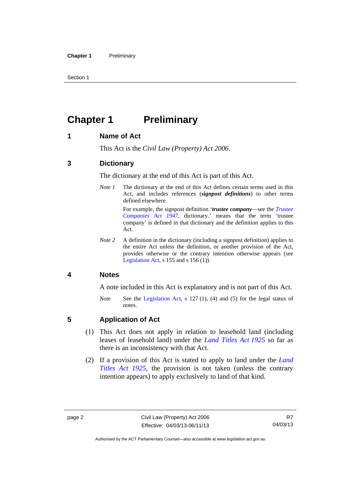Section 1

# <span id="page-11-0"></span>**Chapter 1** Preliminary

#### <span id="page-11-1"></span>**1 Name of Act**

This Act is the *Civil Law (Property) Act 2006*.

#### <span id="page-11-2"></span>**3 Dictionary**

The dictionary at the end of this Act is part of this Act.

*Note 1* The dictionary at the end of this Act defines certain terms used in this Act, and includes references (*signpost definitions*) to other terms defined elsewhere.

> For example, the signpost definition '*trustee company*—see the *[Trustee](http://www.legislation.act.gov.au/a/1947-15)  [Companies Act 1947](http://www.legislation.act.gov.au/a/1947-15)*, dictionary.' means that the term 'trustee company' is defined in that dictionary and the definition applies to this Act.

*Note 2* A definition in the dictionary (including a signpost definition) applies to the entire Act unless the definition, or another provision of the Act, provides otherwise or the contrary intention otherwise appears (see [Legislation Act,](http://www.legislation.act.gov.au/a/2001-14)  $s$  155 and  $s$  156 (1)).

#### <span id="page-11-3"></span>**4 Notes**

A note included in this Act is explanatory and is not part of this Act.

*Note* See the [Legislation Act,](http://www.legislation.act.gov.au/a/2001-14) s 127 (1), (4) and (5) for the legal status of notes.

#### <span id="page-11-4"></span>**5 Application of Act**

- (1) This Act does not apply in relation to leasehold land (including leases of leasehold land) under the *[Land Titles Act 1925](http://www.legislation.act.gov.au/a/1925-1)* so far as there is an inconsistency with that Act.
- (2) If a provision of this Act is stated to apply to land under the *[Land](http://www.legislation.act.gov.au/a/1925-1)  [Titles Act 1925](http://www.legislation.act.gov.au/a/1925-1)*, the provision is not taken (unless the contrary intention appears) to apply exclusively to land of that kind.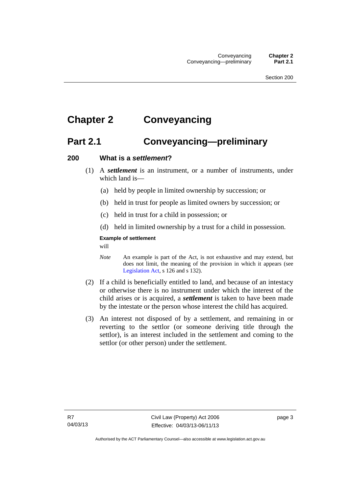# <span id="page-12-0"></span>**Chapter 2 Conveyancing**

## <span id="page-12-1"></span>**Part 2.1 Conveyancing—preliminary**

#### <span id="page-12-2"></span>**200 What is a** *settlement***?**

- (1) A *settlement* is an instrument, or a number of instruments, under which land is—
	- (a) held by people in limited ownership by succession; or
	- (b) held in trust for people as limited owners by succession; or
	- (c) held in trust for a child in possession; or
	- (d) held in limited ownership by a trust for a child in possession.

#### **Example of settlement**

will

- *Note* An example is part of the Act, is not exhaustive and may extend, but does not limit, the meaning of the provision in which it appears (see [Legislation Act,](http://www.legislation.act.gov.au/a/2001-14) s 126 and s 132).
- (2) If a child is beneficially entitled to land, and because of an intestacy or otherwise there is no instrument under which the interest of the child arises or is acquired, a *settlement* is taken to have been made by the intestate or the person whose interest the child has acquired.
- (3) An interest not disposed of by a settlement, and remaining in or reverting to the settlor (or someone deriving title through the settlor), is an interest included in the settlement and coming to the settlor (or other person) under the settlement.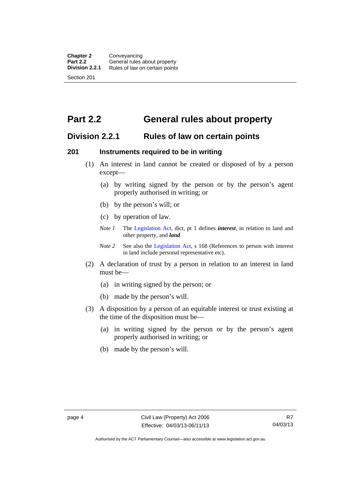# <span id="page-13-0"></span>**Part 2.2 General rules about property**

### <span id="page-13-1"></span>**Division 2.2.1 Rules of law on certain points**

#### <span id="page-13-2"></span>**201 Instruments required to be in writing**

- (1) An interest in land cannot be created or disposed of by a person except—
	- (a) by writing signed by the person or by the person's agent properly authorised in writing; or
	- (b) by the person's will; or
	- (c) by operation of law.
	- *Note 1* The [Legislation Act](http://www.legislation.act.gov.au/a/2001-14), dict, pt 1 defines *interest*, in relation to land and other property, and *land*.
	- *Note 2* See also the [Legislation Act,](http://www.legislation.act.gov.au/a/2001-14) s 168 (References to person with interest in land include personal representative etc).
- (2) A declaration of trust by a person in relation to an interest in land must be—
	- (a) in writing signed by the person; or
	- (b) made by the person's will.
- (3) A disposition by a person of an equitable interest or trust existing at the time of the disposition must be—
	- (a) in writing signed by the person or by the person's agent properly authorised in writing; or
	- (b) made by the person's will.

Authorised by the ACT Parliamentary Counsel—also accessible at www.legislation.act.gov.au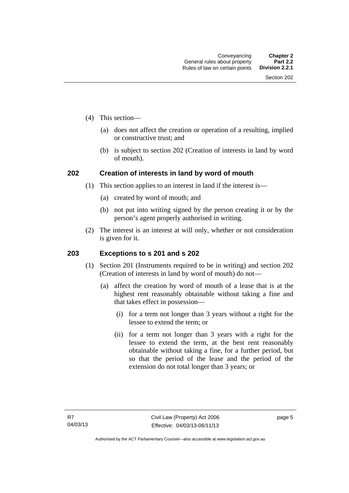- (4) This section—
	- (a) does not affect the creation or operation of a resulting, implied or constructive trust; and
	- (b) is subject to section 202 (Creation of interests in land by word of mouth).

#### <span id="page-14-0"></span>**202 Creation of interests in land by word of mouth**

- (1) This section applies to an interest in land if the interest is—
	- (a) created by word of mouth; and
	- (b) not put into writing signed by the person creating it or by the person's agent properly authorised in writing.
- (2) The interest is an interest at will only, whether or not consideration is given for it.

#### <span id="page-14-1"></span>**203 Exceptions to s 201 and s 202**

- (1) Section 201 (Instruments required to be in writing) and section 202 (Creation of interests in land by word of mouth) do not—
	- (a) affect the creation by word of mouth of a lease that is at the highest rent reasonably obtainable without taking a fine and that takes effect in possession—
		- (i) for a term not longer than 3 years without a right for the lessee to extend the term; or
		- (ii) for a term not longer than 3 years with a right for the lessee to extend the term, at the best rent reasonably obtainable without taking a fine, for a further period, but so that the period of the lease and the period of the extension do not total longer than 3 years; or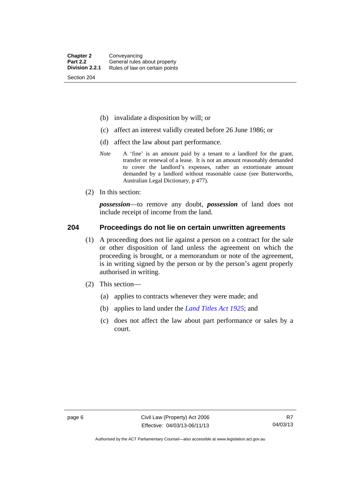- (b) invalidate a disposition by will; or
- (c) affect an interest validly created before 26 June 1986; or
- (d) affect the law about part performance.
- *Note* A 'fine' is an amount paid by a tenant to a landlord for the grant, transfer or renewal of a lease. It is not an amount reasonably demanded to cover the landlord's expenses, rather an extortionate amount demanded by a landlord without reasonable cause (see Butterworths, Australian Legal Dictionary, p 477).
- (2) In this section:

*possession*—to remove any doubt, *possession* of land does not include receipt of income from the land.

#### <span id="page-15-0"></span>**204 Proceedings do not lie on certain unwritten agreements**

- (1) A proceeding does not lie against a person on a contract for the sale or other disposition of land unless the agreement on which the proceeding is brought, or a memorandum or note of the agreement, is in writing signed by the person or by the person's agent properly authorised in writing.
- (2) This section—
	- (a) applies to contracts whenever they were made; and
	- (b) applies to land under the *[Land Titles Act 1925](http://www.legislation.act.gov.au/a/1925-1)*; and
	- (c) does not affect the law about part performance or sales by a court.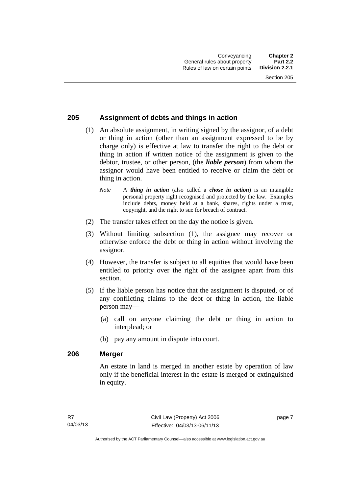#### <span id="page-16-0"></span>**205 Assignment of debts and things in action**

- (1) An absolute assignment, in writing signed by the assignor, of a debt or thing in action (other than an assignment expressed to be by charge only) is effective at law to transfer the right to the debt or thing in action if written notice of the assignment is given to the debtor, trustee, or other person, (the *liable person*) from whom the assignor would have been entitled to receive or claim the debt or thing in action.
	- *Note* A *thing in action* (also called a *chose in action*) is an intangible personal property right recognised and protected by the law. Examples include debts, money held at a bank, shares, rights under a trust, copyright, and the right to sue for breach of contract.
- (2) The transfer takes effect on the day the notice is given.
- (3) Without limiting subsection (1), the assignee may recover or otherwise enforce the debt or thing in action without involving the assignor.
- (4) However, the transfer is subject to all equities that would have been entitled to priority over the right of the assignee apart from this section.
- (5) If the liable person has notice that the assignment is disputed, or of any conflicting claims to the debt or thing in action, the liable person may—
	- (a) call on anyone claiming the debt or thing in action to interplead; or
	- (b) pay any amount in dispute into court.

#### <span id="page-16-1"></span>**206 Merger**

An estate in land is merged in another estate by operation of law only if the beneficial interest in the estate is merged or extinguished in equity.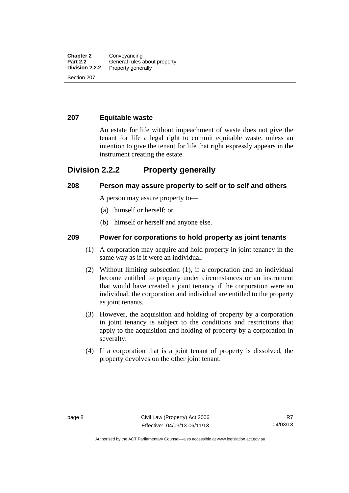#### <span id="page-17-0"></span>**207 Equitable waste**

An estate for life without impeachment of waste does not give the tenant for life a legal right to commit equitable waste, unless an intention to give the tenant for life that right expressly appears in the instrument creating the estate.

### <span id="page-17-1"></span>**Division 2.2.2 Property generally**

#### <span id="page-17-2"></span>**208 Person may assure property to self or to self and others**

A person may assure property to—

- (a) himself or herself; or
- (b) himself or herself and anyone else.

#### <span id="page-17-3"></span>**209 Power for corporations to hold property as joint tenants**

- (1) A corporation may acquire and hold property in joint tenancy in the same way as if it were an individual.
- (2) Without limiting subsection (1), if a corporation and an individual become entitled to property under circumstances or an instrument that would have created a joint tenancy if the corporation were an individual, the corporation and individual are entitled to the property as joint tenants.
- (3) However, the acquisition and holding of property by a corporation in joint tenancy is subject to the conditions and restrictions that apply to the acquisition and holding of property by a corporation in severalty.
- (4) If a corporation that is a joint tenant of property is dissolved, the property devolves on the other joint tenant.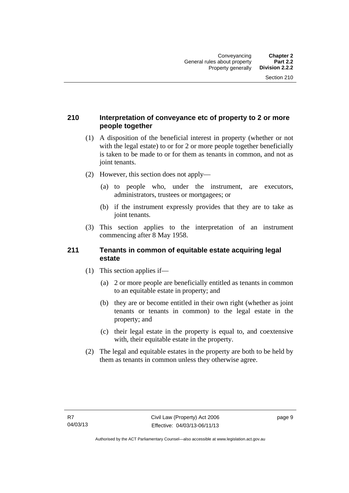#### <span id="page-18-0"></span>**210 Interpretation of conveyance etc of property to 2 or more people together**

- (1) A disposition of the beneficial interest in property (whether or not with the legal estate) to or for 2 or more people together beneficially is taken to be made to or for them as tenants in common, and not as joint tenants.
- (2) However, this section does not apply—
	- (a) to people who, under the instrument, are executors, administrators, trustees or mortgagees; or
	- (b) if the instrument expressly provides that they are to take as joint tenants.
- (3) This section applies to the interpretation of an instrument commencing after 8 May 1958.

#### <span id="page-18-1"></span>**211 Tenants in common of equitable estate acquiring legal estate**

- (1) This section applies if—
	- (a) 2 or more people are beneficially entitled as tenants in common to an equitable estate in property; and
	- (b) they are or become entitled in their own right (whether as joint tenants or tenants in common) to the legal estate in the property; and
	- (c) their legal estate in the property is equal to, and coextensive with, their equitable estate in the property.
- (2) The legal and equitable estates in the property are both to be held by them as tenants in common unless they otherwise agree.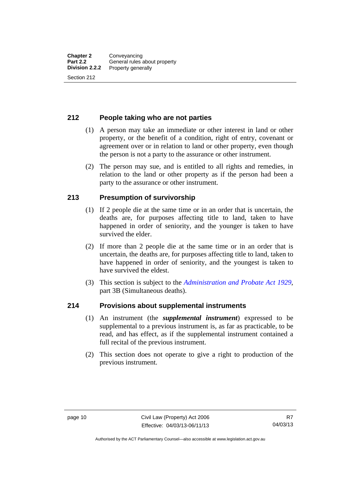#### <span id="page-19-0"></span>**212 People taking who are not parties**

- (1) A person may take an immediate or other interest in land or other property, or the benefit of a condition, right of entry, covenant or agreement over or in relation to land or other property, even though the person is not a party to the assurance or other instrument.
- (2) The person may sue, and is entitled to all rights and remedies, in relation to the land or other property as if the person had been a party to the assurance or other instrument.

#### <span id="page-19-1"></span>**213 Presumption of survivorship**

- (1) If 2 people die at the same time or in an order that is uncertain, the deaths are, for purposes affecting title to land, taken to have happened in order of seniority, and the younger is taken to have survived the elder.
- (2) If more than 2 people die at the same time or in an order that is uncertain, the deaths are, for purposes affecting title to land, taken to have happened in order of seniority, and the youngest is taken to have survived the eldest.
- (3) This section is subject to the *[Administration and Probate Act 1929](http://www.legislation.act.gov.au/a/1929-18)*, part 3B (Simultaneous deaths).

#### <span id="page-19-2"></span>**214 Provisions about supplemental instruments**

- (1) An instrument (the *supplemental instrument*) expressed to be supplemental to a previous instrument is, as far as practicable, to be read, and has effect, as if the supplemental instrument contained a full recital of the previous instrument.
- (2) This section does not operate to give a right to production of the previous instrument.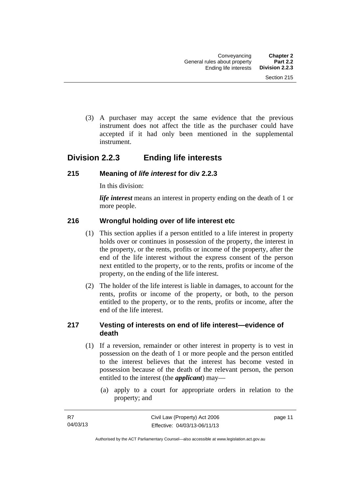(3) A purchaser may accept the same evidence that the previous instrument does not affect the title as the purchaser could have accepted if it had only been mentioned in the supplemental instrument.

### <span id="page-20-0"></span>**Division 2.2.3 Ending life interests**

#### <span id="page-20-1"></span>**215 Meaning of** *life interest* **for div 2.2.3**

In this division:

*life interest* means an interest in property ending on the death of 1 or more people.

#### <span id="page-20-2"></span>**216 Wrongful holding over of life interest etc**

- (1) This section applies if a person entitled to a life interest in property holds over or continues in possession of the property, the interest in the property, or the rents, profits or income of the property, after the end of the life interest without the express consent of the person next entitled to the property, or to the rents, profits or income of the property, on the ending of the life interest.
- (2) The holder of the life interest is liable in damages, to account for the rents, profits or income of the property, or both, to the person entitled to the property, or to the rents, profits or income, after the end of the life interest.

#### <span id="page-20-3"></span>**217 Vesting of interests on end of life interest—evidence of death**

- (1) If a reversion, remainder or other interest in property is to vest in possession on the death of 1 or more people and the person entitled to the interest believes that the interest has become vested in possession because of the death of the relevant person, the person entitled to the interest (the *applicant*) may—
	- (a) apply to a court for appropriate orders in relation to the property; and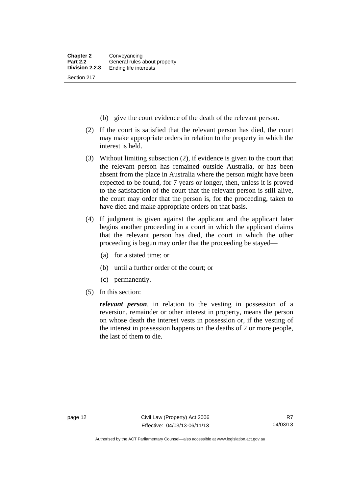- (b) give the court evidence of the death of the relevant person.
- (2) If the court is satisfied that the relevant person has died, the court may make appropriate orders in relation to the property in which the interest is held.
- (3) Without limiting subsection (2), if evidence is given to the court that the relevant person has remained outside Australia, or has been absent from the place in Australia where the person might have been expected to be found, for 7 years or longer, then, unless it is proved to the satisfaction of the court that the relevant person is still alive, the court may order that the person is, for the proceeding, taken to have died and make appropriate orders on that basis.
- (4) If judgment is given against the applicant and the applicant later begins another proceeding in a court in which the applicant claims that the relevant person has died, the court in which the other proceeding is begun may order that the proceeding be stayed—
	- (a) for a stated time; or
	- (b) until a further order of the court; or
	- (c) permanently.
- (5) In this section:

*relevant person*, in relation to the vesting in possession of a reversion, remainder or other interest in property, means the person on whose death the interest vests in possession or, if the vesting of the interest in possession happens on the deaths of 2 or more people, the last of them to die.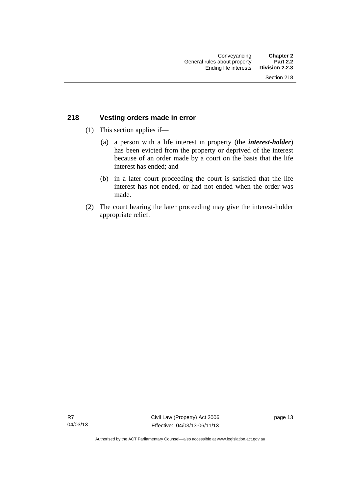#### <span id="page-22-0"></span>**218 Vesting orders made in error**

- (1) This section applies if—
	- (a) a person with a life interest in property (the *interest-holder*) has been evicted from the property or deprived of the interest because of an order made by a court on the basis that the life interest has ended; and
	- (b) in a later court proceeding the court is satisfied that the life interest has not ended, or had not ended when the order was made.
- (2) The court hearing the later proceeding may give the interest-holder appropriate relief.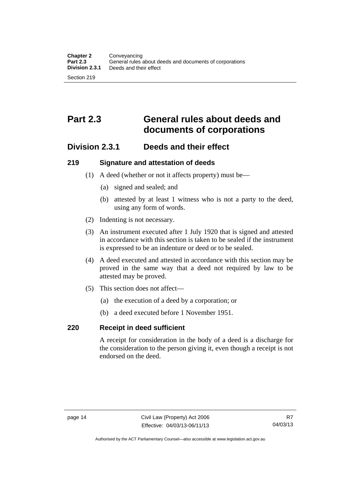# <span id="page-23-0"></span>**Part 2.3 General rules about deeds and documents of corporations**

### <span id="page-23-1"></span>**Division 2.3.1 Deeds and their effect**

#### <span id="page-23-2"></span>**219 Signature and attestation of deeds**

- (1) A deed (whether or not it affects property) must be—
	- (a) signed and sealed; and
	- (b) attested by at least 1 witness who is not a party to the deed, using any form of words.
- (2) Indenting is not necessary.
- (3) An instrument executed after 1 July 1920 that is signed and attested in accordance with this section is taken to be sealed if the instrument is expressed to be an indenture or deed or to be sealed.
- (4) A deed executed and attested in accordance with this section may be proved in the same way that a deed not required by law to be attested may be proved.
- (5) This section does not affect—
	- (a) the execution of a deed by a corporation; or
	- (b) a deed executed before 1 November 1951.

#### <span id="page-23-3"></span>**220 Receipt in deed sufficient**

A receipt for consideration in the body of a deed is a discharge for the consideration to the person giving it, even though a receipt is not endorsed on the deed.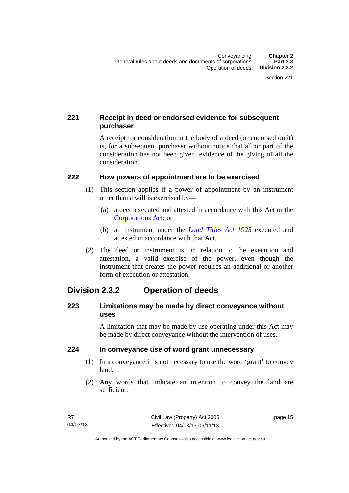### <span id="page-24-0"></span>**221 Receipt in deed or endorsed evidence for subsequent purchaser**

A receipt for consideration in the body of a deed (or endorsed on it) is, for a subsequent purchaser without notice that all or part of the consideration has not been given, evidence of the giving of all the consideration.

#### <span id="page-24-1"></span>**222 How powers of appointment are to be exercised**

- (1) This section applies if a power of appointment by an instrument other than a will is exercised by—
	- (a) a deed executed and attested in accordance with this Act or the [Corporations Act;](http://www.comlaw.gov.au/Series/C2004A00818) or
	- (b) an instrument under the *[Land Titles Act 1925](http://www.legislation.act.gov.au/a/1925-1)* executed and attested in accordance with that Act.
- (2) The deed or instrument is, in relation to the execution and attestation, a valid exercise of the power, even though the instrument that creates the power requires an additional or another form of execution or attestation.

### <span id="page-24-2"></span>**Division 2.3.2 Operation of deeds**

#### <span id="page-24-3"></span>**223 Limitations may be made by direct conveyance without uses**

A limitation that may be made by use operating under this Act may be made by direct conveyance without the intervention of uses.

#### <span id="page-24-4"></span>**224 In conveyance use of word grant unnecessary**

- (1) In a conveyance it is not necessary to use the word 'grant' to convey land.
- (2) Any words that indicate an intention to convey the land are sufficient.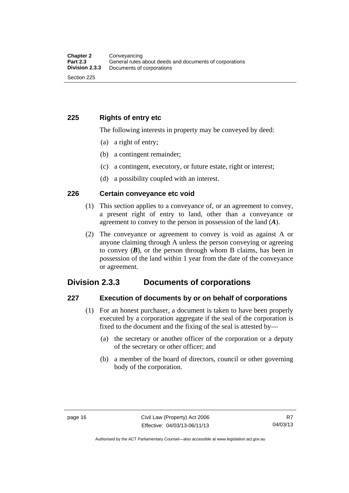#### <span id="page-25-0"></span>**225 Rights of entry etc**

The following interests in property may be conveyed by deed:

- (a) a right of entry;
- (b) a contingent remainder;
- (c) a contingent, executory, or future estate, right or interest;
- (d) a possibility coupled with an interest.

#### <span id="page-25-1"></span>**226 Certain conveyance etc void**

- (1) This section applies to a conveyance of, or an agreement to convey, a present right of entry to land, other than a conveyance or agreement to convey to the person in possession of the land (*A*).
- (2) The conveyance or agreement to convey is void as against A or anyone claiming through A unless the person conveying or agreeing to convey  $(B)$ , or the person through whom B claims, has been in possession of the land within 1 year from the date of the conveyance or agreement.

### <span id="page-25-2"></span>**Division 2.3.3 Documents of corporations**

#### <span id="page-25-3"></span>**227 Execution of documents by or on behalf of corporations**

- (1) For an honest purchaser, a document is taken to have been properly executed by a corporation aggregate if the seal of the corporation is fixed to the document and the fixing of the seal is attested by—
	- (a) the secretary or another officer of the corporation or a deputy of the secretary or other officer; and
	- (b) a member of the board of directors, council or other governing body of the corporation.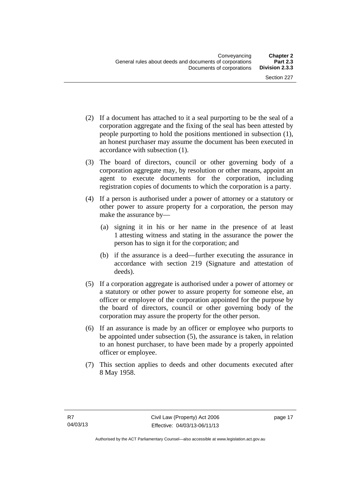- (2) If a document has attached to it a seal purporting to be the seal of a corporation aggregate and the fixing of the seal has been attested by people purporting to hold the positions mentioned in subsection (1), an honest purchaser may assume the document has been executed in accordance with subsection (1).
- (3) The board of directors, council or other governing body of a corporation aggregate may, by resolution or other means, appoint an agent to execute documents for the corporation, including registration copies of documents to which the corporation is a party.
- (4) If a person is authorised under a power of attorney or a statutory or other power to assure property for a corporation, the person may make the assurance by—
	- (a) signing it in his or her name in the presence of at least 1 attesting witness and stating in the assurance the power the person has to sign it for the corporation; and
	- (b) if the assurance is a deed—further executing the assurance in accordance with section 219 (Signature and attestation of deeds).
- (5) If a corporation aggregate is authorised under a power of attorney or a statutory or other power to assure property for someone else, an officer or employee of the corporation appointed for the purpose by the board of directors, council or other governing body of the corporation may assure the property for the other person.
- (6) If an assurance is made by an officer or employee who purports to be appointed under subsection (5), the assurance is taken, in relation to an honest purchaser, to have been made by a properly appointed officer or employee.
- (7) This section applies to deeds and other documents executed after 8 May 1958.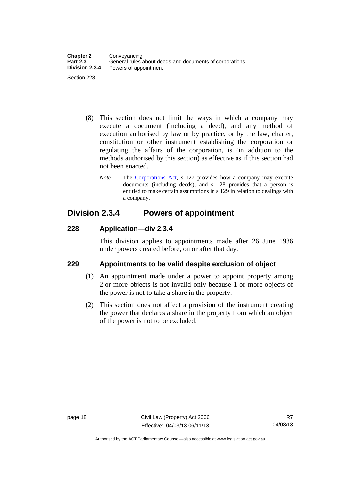- (8) This section does not limit the ways in which a company may execute a document (including a deed), and any method of execution authorised by law or by practice, or by the law, charter, constitution or other instrument establishing the corporation or regulating the affairs of the corporation, is (in addition to the methods authorised by this section) as effective as if this section had not been enacted.
	- *Note* The [Corporations Act,](http://www.comlaw.gov.au/Series/C2004A00818) s 127 provides how a company may execute documents (including deeds), and s 128 provides that a person is entitled to make certain assumptions in s 129 in relation to dealings with a company.

### <span id="page-27-0"></span>**Division 2.3.4 Powers of appointment**

#### <span id="page-27-1"></span>**228 Application—div 2.3.4**

This division applies to appointments made after 26 June 1986 under powers created before, on or after that day.

### <span id="page-27-2"></span>**229 Appointments to be valid despite exclusion of object**

- (1) An appointment made under a power to appoint property among 2 or more objects is not invalid only because 1 or more objects of the power is not to take a share in the property.
- (2) This section does not affect a provision of the instrument creating the power that declares a share in the property from which an object of the power is not to be excluded.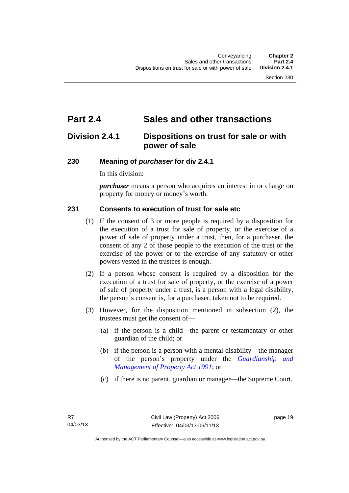# <span id="page-28-0"></span>**Part 2.4 Sales and other transactions**

### <span id="page-28-1"></span>**Division 2.4.1 Dispositions on trust for sale or with power of sale**

#### <span id="page-28-2"></span>**230 Meaning of** *purchaser* **for div 2.4.1**

In this division:

*purchaser* means a person who acquires an interest in or charge on property for money or money's worth.

#### <span id="page-28-3"></span>**231 Consents to execution of trust for sale etc**

- (1) If the consent of 3 or more people is required by a disposition for the execution of a trust for sale of property, or the exercise of a power of sale of property under a trust, then, for a purchaser, the consent of any 2 of those people to the execution of the trust or the exercise of the power or to the exercise of any statutory or other powers vested in the trustees is enough.
- (2) If a person whose consent is required by a disposition for the execution of a trust for sale of property, or the exercise of a power of sale of property under a trust, is a person with a legal disability, the person's consent is, for a purchaser, taken not to be required.
- (3) However, for the disposition mentioned in subsection (2), the trustees must get the consent of—
	- (a) if the person is a child—the parent or testamentary or other guardian of the child; or
	- (b) if the person is a person with a mental disability—the manager of the person's property under the *[Guardianship and](http://www.legislation.act.gov.au/a/1991-62)  [Management of Property Act 1991](http://www.legislation.act.gov.au/a/1991-62)*; or
	- (c) if there is no parent, guardian or manager—the Supreme Court.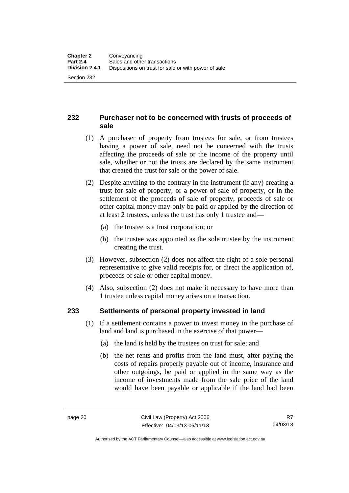#### <span id="page-29-0"></span>**232 Purchaser not to be concerned with trusts of proceeds of sale**

- (1) A purchaser of property from trustees for sale, or from trustees having a power of sale, need not be concerned with the trusts affecting the proceeds of sale or the income of the property until sale, whether or not the trusts are declared by the same instrument that created the trust for sale or the power of sale.
- (2) Despite anything to the contrary in the instrument (if any) creating a trust for sale of property, or a power of sale of property, or in the settlement of the proceeds of sale of property, proceeds of sale or other capital money may only be paid or applied by the direction of at least 2 trustees, unless the trust has only 1 trustee and—
	- (a) the trustee is a trust corporation; or
	- (b) the trustee was appointed as the sole trustee by the instrument creating the trust.
- (3) However, subsection (2) does not affect the right of a sole personal representative to give valid receipts for, or direct the application of, proceeds of sale or other capital money.
- (4) Also, subsection (2) does not make it necessary to have more than 1 trustee unless capital money arises on a transaction.

#### <span id="page-29-1"></span>**233 Settlements of personal property invested in land**

- (1) If a settlement contains a power to invest money in the purchase of land and land is purchased in the exercise of that power—
	- (a) the land is held by the trustees on trust for sale; and
	- (b) the net rents and profits from the land must, after paying the costs of repairs properly payable out of income, insurance and other outgoings, be paid or applied in the same way as the income of investments made from the sale price of the land would have been payable or applicable if the land had been

Authorised by the ACT Parliamentary Counsel—also accessible at www.legislation.act.gov.au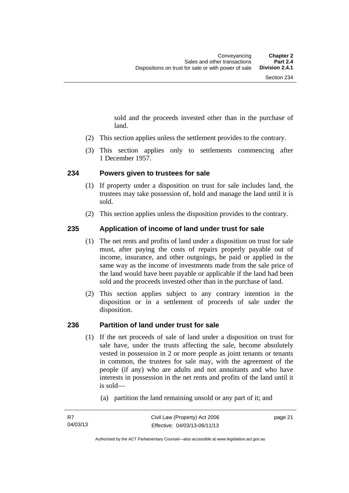sold and the proceeds invested other than in the purchase of land.

- (2) This section applies unless the settlement provides to the contrary.
- (3) This section applies only to settlements commencing after 1 December 1957.

#### <span id="page-30-0"></span>**234 Powers given to trustees for sale**

- (1) If property under a disposition on trust for sale includes land, the trustees may take possession of, hold and manage the land until it is sold.
- (2) This section applies unless the disposition provides to the contrary.

#### <span id="page-30-1"></span>**235 Application of income of land under trust for sale**

- (1) The net rents and profits of land under a disposition on trust for sale must, after paying the costs of repairs properly payable out of income, insurance, and other outgoings, be paid or applied in the same way as the income of investments made from the sale price of the land would have been payable or applicable if the land had been sold and the proceeds invested other than in the purchase of land.
- (2) This section applies subject to any contrary intention in the disposition or in a settlement of proceeds of sale under the disposition.

#### <span id="page-30-2"></span>**236 Partition of land under trust for sale**

- (1) If the net proceeds of sale of land under a disposition on trust for sale have, under the trusts affecting the sale, become absolutely vested in possession in 2 or more people as joint tenants or tenants in common, the trustees for sale may, with the agreement of the people (if any) who are adults and not annuitants and who have interests in possession in the net rents and profits of the land until it is sold—
	- (a) partition the land remaining unsold or any part of it; and

page 21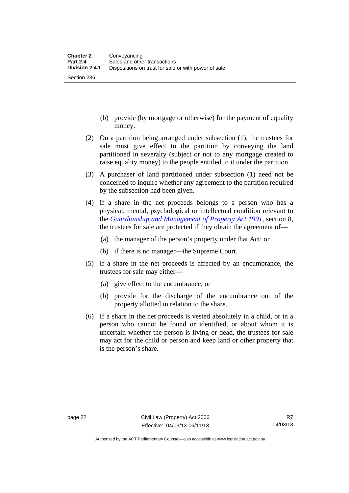Section 236

- (b) provide (by mortgage or otherwise) for the payment of equality money.
- (2) On a partition being arranged under subsection (1), the trustees for sale must give effect to the partition by conveying the land partitioned in severalty (subject or not to any mortgage created to raise equality money) to the people entitled to it under the partition.
- (3) A purchaser of land partitioned under subsection (1) need not be concerned to inquire whether any agreement to the partition required by the subsection had been given.
- (4) If a share in the net proceeds belongs to a person who has a physical, mental, psychological or intellectual condition relevant to the *[Guardianship and Management of Property Act 1991](http://www.legislation.act.gov.au/a/1991-62)*, section 8, the trustees for sale are protected if they obtain the agreement of—
	- (a) the manager of the person's property under that Act; or
	- (b) if there is no manager—the Supreme Court.
- (5) If a share in the net proceeds is affected by an encumbrance, the trustees for sale may either—
	- (a) give effect to the encumbrance; or
	- (b) provide for the discharge of the encumbrance out of the property allotted in relation to the share.
- (6) If a share in the net proceeds is vested absolutely in a child, or in a person who cannot be found or identified, or about whom it is uncertain whether the person is living or dead, the trustees for sale may act for the child or person and keep land or other property that is the person's share.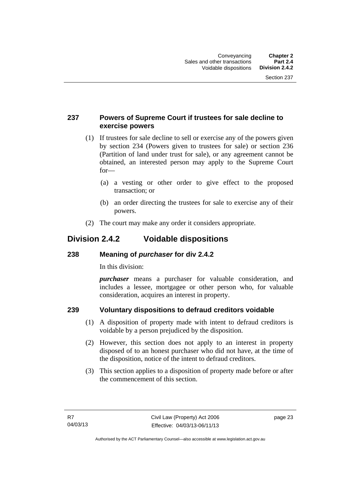#### <span id="page-32-0"></span>**237 Powers of Supreme Court if trustees for sale decline to exercise powers**

- (1) If trustees for sale decline to sell or exercise any of the powers given by section 234 (Powers given to trustees for sale) or section 236 (Partition of land under trust for sale), or any agreement cannot be obtained, an interested person may apply to the Supreme Court for—
	- (a) a vesting or other order to give effect to the proposed transaction; or
	- (b) an order directing the trustees for sale to exercise any of their powers.
- (2) The court may make any order it considers appropriate.

### <span id="page-32-1"></span>**Division 2.4.2 Voidable dispositions**

#### <span id="page-32-2"></span>**238 Meaning of** *purchaser* **for div 2.4.2**

In this division:

*purchaser* means a purchaser for valuable consideration, and includes a lessee, mortgagee or other person who, for valuable consideration, acquires an interest in property.

### <span id="page-32-3"></span>**239 Voluntary dispositions to defraud creditors voidable**

- (1) A disposition of property made with intent to defraud creditors is voidable by a person prejudiced by the disposition.
- (2) However, this section does not apply to an interest in property disposed of to an honest purchaser who did not have, at the time of the disposition, notice of the intent to defraud creditors.
- (3) This section applies to a disposition of property made before or after the commencement of this section.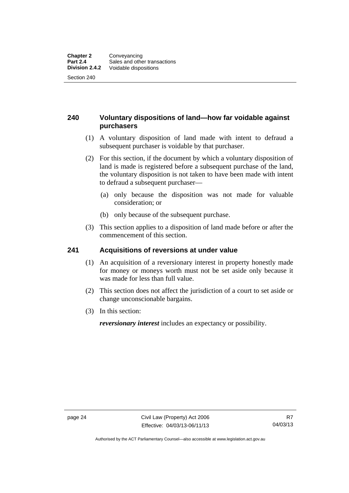#### <span id="page-33-0"></span>**240 Voluntary dispositions of land—how far voidable against purchasers**

- (1) A voluntary disposition of land made with intent to defraud a subsequent purchaser is voidable by that purchaser.
- (2) For this section, if the document by which a voluntary disposition of land is made is registered before a subsequent purchase of the land, the voluntary disposition is not taken to have been made with intent to defraud a subsequent purchaser—
	- (a) only because the disposition was not made for valuable consideration; or
	- (b) only because of the subsequent purchase.
- (3) This section applies to a disposition of land made before or after the commencement of this section.

#### <span id="page-33-1"></span>**241 Acquisitions of reversions at under value**

- (1) An acquisition of a reversionary interest in property honestly made for money or moneys worth must not be set aside only because it was made for less than full value.
- (2) This section does not affect the jurisdiction of a court to set aside or change unconscionable bargains.
- (3) In this section:

*reversionary interest* includes an expectancy or possibility.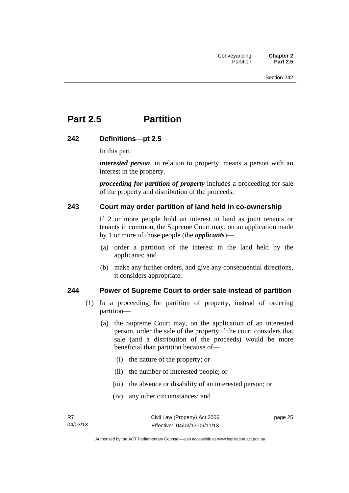# <span id="page-34-0"></span>**Part 2.5 Partition**

#### <span id="page-34-1"></span>**242 Definitions—pt 2.5**

In this part:

*interested person*, in relation to property, means a person with an interest in the property.

*proceeding for partition of property* includes a proceeding for sale of the property and distribution of the proceeds.

#### <span id="page-34-2"></span>**243 Court may order partition of land held in co-ownership**

If 2 or more people hold an interest in land as joint tenants or tenants in common, the Supreme Court may, on an application made by 1 or more of those people (the *applicants*)—

- (a) order a partition of the interest in the land held by the applicants; and
- (b) make any further orders, and give any consequential directions, it considers appropriate.

#### <span id="page-34-3"></span>**244 Power of Supreme Court to order sale instead of partition**

- (1) In a proceeding for partition of property, instead of ordering partition—
	- (a) the Supreme Court may, on the application of an interested person, order the sale of the property if the court considers that sale (and a distribution of the proceeds) would be more beneficial than partition because of—
		- (i) the nature of the property; or
		- (ii) the number of interested people; or
		- (iii) the absence or disability of an interested person; or
		- (iv) any other circumstances; and

page 25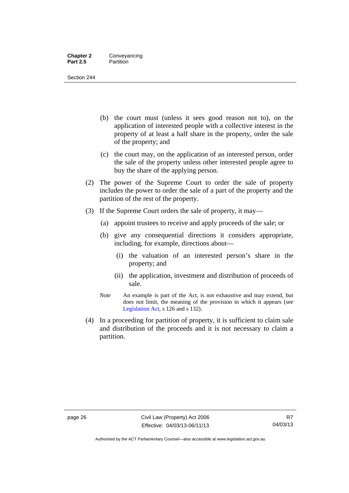#### **Chapter 2** Conveyancing **Part 2.5** Partition

Section 244

- (b) the court must (unless it sees good reason not to), on the application of interested people with a collective interest in the property of at least a half share in the property, order the sale of the property; and
- (c) the court may, on the application of an interested person, order the sale of the property unless other interested people agree to buy the share of the applying person.
- (2) The power of the Supreme Court to order the sale of property includes the power to order the sale of a part of the property and the partition of the rest of the property.
- (3) If the Supreme Court orders the sale of property, it may—
	- (a) appoint trustees to receive and apply proceeds of the sale; or
	- (b) give any consequential directions it considers appropriate, including, for example, directions about—
		- (i) the valuation of an interested person's share in the property; and
		- (ii) the application, investment and distribution of proceeds of sale.
	- *Note* An example is part of the Act, is not exhaustive and may extend, but does not limit, the meaning of the provision in which it appears (see [Legislation Act,](http://www.legislation.act.gov.au/a/2001-14) s 126 and s 132).
- (4) In a proceeding for partition of property, it is sufficient to claim sale and distribution of the proceeds and it is not necessary to claim a partition.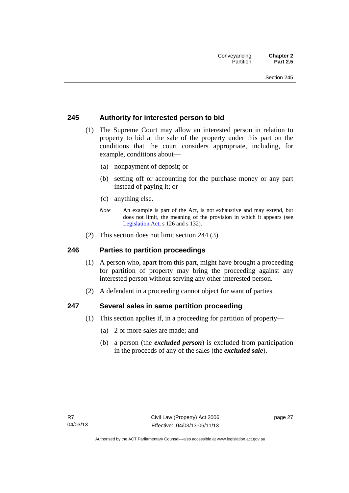### **245 Authority for interested person to bid**

- (1) The Supreme Court may allow an interested person in relation to property to bid at the sale of the property under this part on the conditions that the court considers appropriate, including, for example, conditions about—
	- (a) nonpayment of deposit; or
	- (b) setting off or accounting for the purchase money or any part instead of paying it; or
	- (c) anything else.
	- *Note* An example is part of the Act, is not exhaustive and may extend, but does not limit, the meaning of the provision in which it appears (see [Legislation Act,](http://www.legislation.act.gov.au/a/2001-14) s 126 and s 132).
- (2) This section does not limit section 244 (3).

#### **246 Parties to partition proceedings**

- (1) A person who, apart from this part, might have brought a proceeding for partition of property may bring the proceeding against any interested person without serving any other interested person.
- (2) A defendant in a proceeding cannot object for want of parties.

#### **247 Several sales in same partition proceeding**

- (1) This section applies if, in a proceeding for partition of property—
	- (a) 2 or more sales are made; and
	- (b) a person (the *excluded person*) is excluded from participation in the proceeds of any of the sales (the *excluded sale*).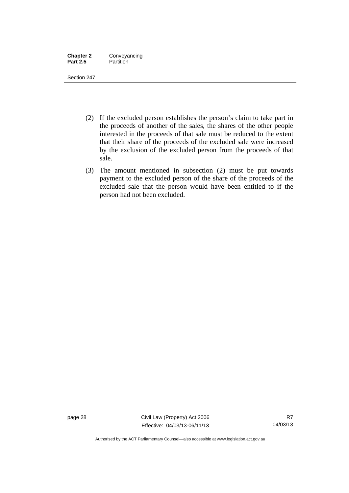| <b>Chapter 2</b> | Conveyancing |
|------------------|--------------|
| <b>Part 2.5</b>  | Partition    |

Section 247

- (2) If the excluded person establishes the person's claim to take part in the proceeds of another of the sales, the shares of the other people interested in the proceeds of that sale must be reduced to the extent that their share of the proceeds of the excluded sale were increased by the exclusion of the excluded person from the proceeds of that sale.
- (3) The amount mentioned in subsection (2) must be put towards payment to the excluded person of the share of the proceeds of the excluded sale that the person would have been entitled to if the person had not been excluded.

page 28 Civil Law (Property) Act 2006 Effective: 04/03/13-06/11/13

Authorised by the ACT Parliamentary Counsel—also accessible at www.legislation.act.gov.au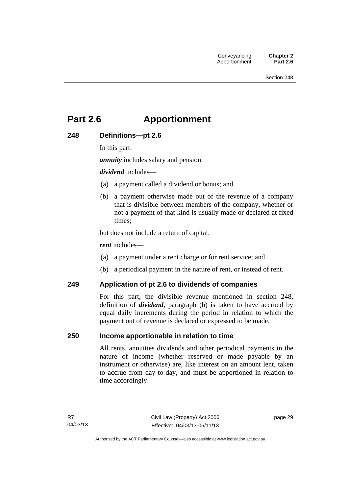# **Part 2.6 Apportionment**

# **248 Definitions—pt 2.6**

In this part:

*annuity* includes salary and pension.

*dividend* includes—

- (a) a payment called a dividend or bonus; and
- (b) a payment otherwise made out of the revenue of a company that is divisible between members of the company, whether or not a payment of that kind is usually made or declared at fixed times;

but does not include a return of capital.

*rent* includes—

- (a) a payment under a rent charge or for rent service; and
- (b) a periodical payment in the nature of rent, or instead of rent.

#### **249 Application of pt 2.6 to dividends of companies**

For this part, the divisible revenue mentioned in section 248, definition of *dividend*, paragraph (b) is taken to have accrued by equal daily increments during the period in relation to which the payment out of revenue is declared or expressed to be made.

#### **250 Income apportionable in relation to time**

All rents, annuities dividends and other periodical payments in the nature of income (whether reserved or made payable by an instrument or otherwise) are, like interest on an amount lent, taken to accrue from day-to-day, and must be apportioned in relation to time accordingly.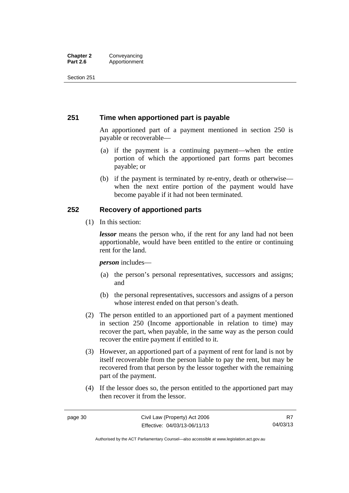#### **Chapter 2 Conveyancing**<br>**Part 2.6 Apportionment Part 2.6** Apportionment

Section 251

# **251 Time when apportioned part is payable**

An apportioned part of a payment mentioned in section 250 is payable or recoverable—

- (a) if the payment is a continuing payment—when the entire portion of which the apportioned part forms part becomes payable; or
- (b) if the payment is terminated by re-entry, death or otherwise when the next entire portion of the payment would have become payable if it had not been terminated.

# **252 Recovery of apportioned parts**

(1) In this section:

*lessor* means the person who, if the rent for any land had not been apportionable, would have been entitled to the entire or continuing rent for the land.

*person* includes—

- (a) the person's personal representatives, successors and assigns; and
- (b) the personal representatives, successors and assigns of a person whose interest ended on that person's death.
- (2) The person entitled to an apportioned part of a payment mentioned in section 250 (Income apportionable in relation to time) may recover the part, when payable, in the same way as the person could recover the entire payment if entitled to it.
- (3) However, an apportioned part of a payment of rent for land is not by itself recoverable from the person liable to pay the rent, but may be recovered from that person by the lessor together with the remaining part of the payment.
- (4) If the lessor does so, the person entitled to the apportioned part may then recover it from the lessor.

Authorised by the ACT Parliamentary Counsel—also accessible at www.legislation.act.gov.au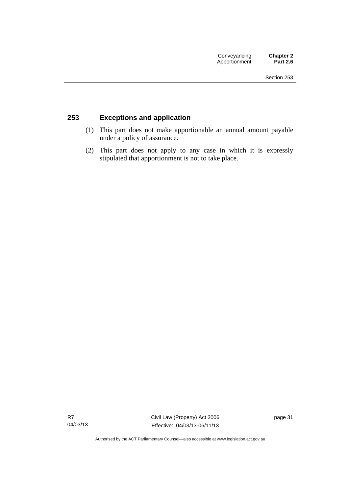# **253 Exceptions and application**

- (1) This part does not make apportionable an annual amount payable under a policy of assurance.
- (2) This part does not apply to any case in which it is expressly stipulated that apportionment is not to take place.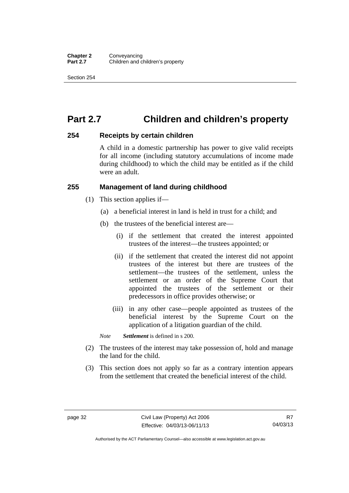# **Part 2.7 Children and children's property**

#### **254 Receipts by certain children**

A child in a domestic partnership has power to give valid receipts for all income (including statutory accumulations of income made during childhood) to which the child may be entitled as if the child were an adult.

#### **255 Management of land during childhood**

- (1) This section applies if—
	- (a) a beneficial interest in land is held in trust for a child; and
	- (b) the trustees of the beneficial interest are—
		- (i) if the settlement that created the interest appointed trustees of the interest—the trustees appointed; or
		- (ii) if the settlement that created the interest did not appoint trustees of the interest but there are trustees of the settlement—the trustees of the settlement, unless the settlement or an order of the Supreme Court that appointed the trustees of the settlement or their predecessors in office provides otherwise; or
		- (iii) in any other case—people appointed as trustees of the beneficial interest by the Supreme Court on the application of a litigation guardian of the child.

*Note Settlement* is defined in s 200.

- (2) The trustees of the interest may take possession of, hold and manage the land for the child.
- (3) This section does not apply so far as a contrary intention appears from the settlement that created the beneficial interest of the child.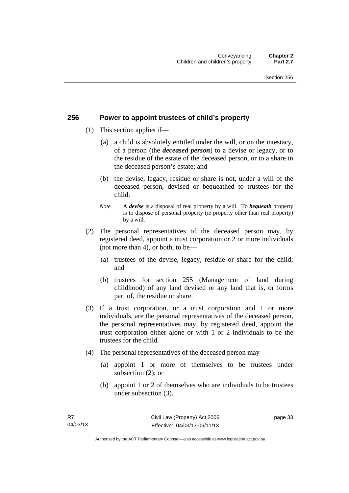### **256 Power to appoint trustees of child's property**

- (1) This section applies if—
	- (a) a child is absolutely entitled under the will, or on the intestacy, of a person (the *deceased person*) to a devise or legacy, or to the residue of the estate of the deceased person, or to a share in the deceased person's estate; and
	- (b) the devise, legacy, residue or share is not, under a will of the deceased person, devised or bequeathed to trustees for the child.
	- *Note* A *devise* is a disposal of real property by a will. To *bequeath* property is to dispose of personal property (ie property other than real property) by a will.
- (2) The personal representatives of the deceased person may, by registered deed, appoint a trust corporation or 2 or more individuals (not more than 4), or both, to be—
	- (a) trustees of the devise, legacy, residue or share for the child; and
	- (b) trustees for section 255 (Management of land during childhood) of any land devised or any land that is, or forms part of, the residue or share.
- (3) If a trust corporation, or a trust corporation and 1 or more individuals, are the personal representatives of the deceased person, the personal representatives may, by registered deed, appoint the trust corporation either alone or with 1 or 2 individuals to be the trustees for the child.
- (4) The personal representatives of the deceased person may—
	- (a) appoint 1 or more of themselves to be trustees under subsection (2); or
	- (b) appoint 1 or 2 of themselves who are individuals to be trustees under subsection (3).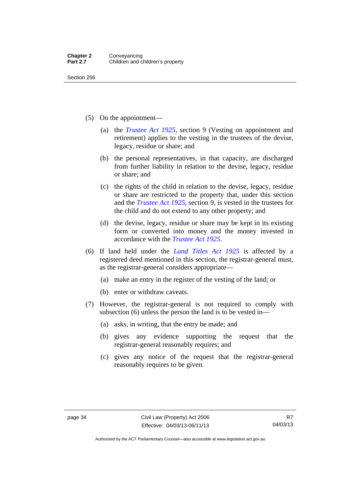Section 256

- (5) On the appointment—
	- (a) the *[Trustee Act 1925](http://www.legislation.act.gov.au/a/1925-14)*, section 9 (Vesting on appointment and retirement) applies to the vesting in the trustees of the devise, legacy, residue or share; and
	- (b) the personal representatives, in that capacity, are discharged from further liability in relation to the devise, legacy, residue or share; and
	- (c) the rights of the child in relation to the devise, legacy, residue or share are restricted to the property that, under this section and the *[Trustee Act 1925](http://www.legislation.act.gov.au/a/1925-14)*, section 9, is vested in the trustees for the child and do not extend to any other property; and
	- (d) the devise, legacy, residue or share may be kept in its existing form or converted into money and the money invested in accordance with the *[Trustee Act 1925](http://www.legislation.act.gov.au/a/1925-14)*.
- (6) If land held under the *[Land Titles Act 1925](http://www.legislation.act.gov.au/a/1925-1)* is affected by a registered deed mentioned in this section, the registrar-general must, as the registrar-general considers appropriate—
	- (a) make an entry in the register of the vesting of the land; or
	- (b) enter or withdraw caveats.
- (7) However, the registrar-general is not required to comply with subsection (6) unless the person the land is to be vested in—
	- (a) asks, in writing, that the entry be made; and
	- (b) gives any evidence supporting the request that the registrar-general reasonably requires; and
	- (c) gives any notice of the request that the registrar-general reasonably requires to be given.

Authorised by the ACT Parliamentary Counsel—also accessible at www.legislation.act.gov.au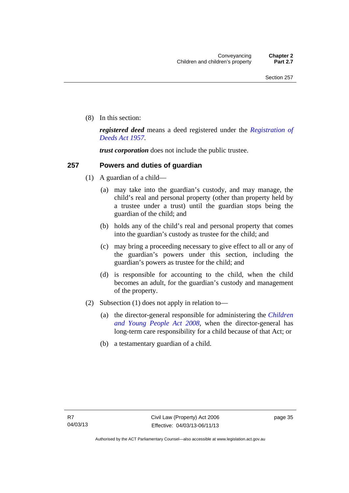(8) In this section:

*registered deed* means a deed registered under the *[Registration of](http://www.legislation.act.gov.au/a/1957-13)  [Deeds Act 1957](http://www.legislation.act.gov.au/a/1957-13)*.

*trust corporation* does not include the public trustee.

# **257 Powers and duties of guardian**

- (1) A guardian of a child—
	- (a) may take into the guardian's custody, and may manage, the child's real and personal property (other than property held by a trustee under a trust) until the guardian stops being the guardian of the child; and
	- (b) holds any of the child's real and personal property that comes into the guardian's custody as trustee for the child; and
	- (c) may bring a proceeding necessary to give effect to all or any of the guardian's powers under this section, including the guardian's powers as trustee for the child; and
	- (d) is responsible for accounting to the child, when the child becomes an adult, for the guardian's custody and management of the property.
- (2) Subsection (1) does not apply in relation to—
	- (a) the director-general responsible for administering the *[Children](http://www.legislation.act.gov.au/a/2008-19)  [and Young People Act 2008](http://www.legislation.act.gov.au/a/2008-19)*, when the director-general has long-term care responsibility for a child because of that Act; or
	- (b) a testamentary guardian of a child.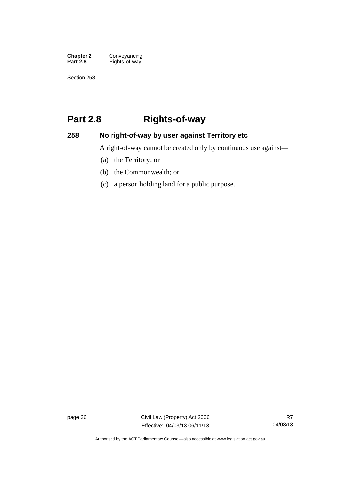**Chapter 2 Conveyancing**<br>**Part 2.8 Rights-of-way Part 2.8** Rights-of-way

Section 258

# **Part 2.8 Rights-of-way**

# **258 No right-of-way by user against Territory etc**

A right-of-way cannot be created only by continuous use against—

- (a) the Territory; or
- (b) the Commonwealth; or
- (c) a person holding land for a public purpose.

page 36 Civil Law (Property) Act 2006 Effective: 04/03/13-06/11/13

Authorised by the ACT Parliamentary Counsel—also accessible at www.legislation.act.gov.au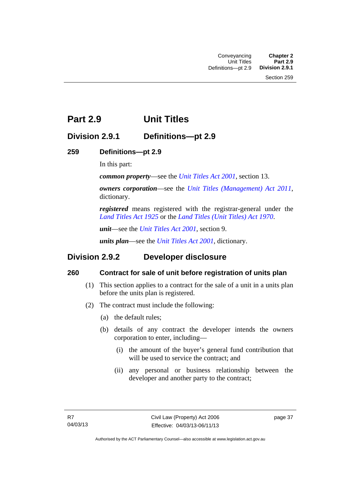# **Part 2.9 Unit Titles**

# **Division 2.9.1 Definitions—pt 2.9**

# **259 Definitions—pt 2.9**

In this part:

*common property*—see the *[Unit Titles Act 2001](http://www.legislation.act.gov.au/a/2001-16)*, section 13.

*owners corporation*—see the *[Unit Titles \(Management\) Act 2011](http://www.legislation.act.gov.au/a/2011-41)*, dictionary.

*registered* means registered with the registrar-general under the *[Land Titles Act 1925](http://www.legislation.act.gov.au/a/1925-1)* or the *[Land Titles \(Unit Titles\) Act 1970](http://www.legislation.act.gov.au/a/1970-32)*.

*unit*—see the *[Unit Titles Act 2001](http://www.legislation.act.gov.au/a/2001-16)*, section 9.

*units plan*—see the *[Unit Titles Act 2001](http://www.legislation.act.gov.au/a/2001-16)*, dictionary.

# **Division 2.9.2 Developer disclosure**

# **260 Contract for sale of unit before registration of units plan**

- (1) This section applies to a contract for the sale of a unit in a units plan before the units plan is registered.
- (2) The contract must include the following:
	- (a) the default rules;
	- (b) details of any contract the developer intends the owners corporation to enter, including—
		- (i) the amount of the buyer's general fund contribution that will be used to service the contract; and
		- (ii) any personal or business relationship between the developer and another party to the contract;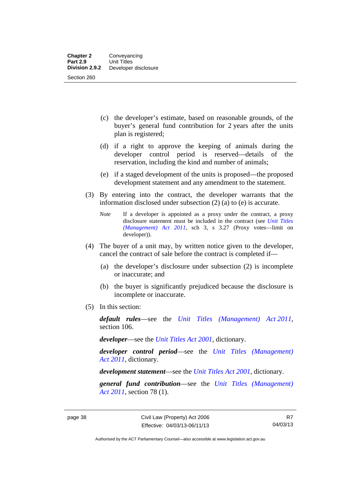- (c) the developer's estimate, based on reasonable grounds, of the buyer's general fund contribution for 2 years after the units plan is registered;
- (d) if a right to approve the keeping of animals during the developer control period is reserved—details of the reservation, including the kind and number of animals;
- (e) if a staged development of the units is proposed—the proposed development statement and any amendment to the statement.
- (3) By entering into the contract, the developer warrants that the information disclosed under subsection (2) (a) to (e) is accurate.
	- *Note* If a developer is appointed as a proxy under the contract, a proxy disclosure statement must be included in the contract (see *[Unit Titles](http://www.legislation.act.gov.au/a/2011-41)  [\(Management\) Act 2011](http://www.legislation.act.gov.au/a/2011-41)*, sch 3, s 3.27 (Proxy votes—limit on developer)).
- (4) The buyer of a unit may, by written notice given to the developer, cancel the contract of sale before the contract is completed if—
	- (a) the developer's disclosure under subsection (2) is incomplete or inaccurate; and
	- (b) the buyer is significantly prejudiced because the disclosure is incomplete or inaccurate.
- (5) In this section:

*default rules*—see the *[Unit Titles \(Management\) Act 2011](http://www.legislation.act.gov.au/a/2011-41)*, section 106.

*developer*—see the *[Unit Titles Act 2001](http://www.legislation.act.gov.au/a/2001-16)*, dictionary.

*developer control period*—see the *[Unit Titles \(Management\)](http://www.legislation.act.gov.au/a/2011-41)  [Act 2011](http://www.legislation.act.gov.au/a/2011-41)*, dictionary.

*development statement*—see the *[Unit Titles Act 2001](http://www.legislation.act.gov.au/a/2001-16)*, dictionary.

*general fund contribution*—see the *[Unit Titles \(Management\)](http://www.legislation.act.gov.au/a/2011-41)  [Act 2011](http://www.legislation.act.gov.au/a/2011-41)*, section 78 (1).

R7 04/03/13

Authorised by the ACT Parliamentary Counsel—also accessible at www.legislation.act.gov.au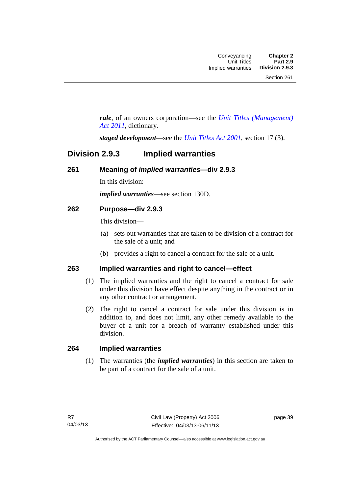*rule*, of an owners corporation—see the *[Unit Titles \(Management\)](http://www.legislation.act.gov.au/a/2011-41)  [Act 2011](http://www.legislation.act.gov.au/a/2011-41)*, dictionary.

*staged development*—see the *[Unit Titles Act 2001](http://www.legislation.act.gov.au/a/2001-16)*, section 17 (3).

# **Division 2.9.3 Implied warranties**

#### **261 Meaning of** *implied warranties***—div 2.9.3**

In this division:

*implied warranties*—see section 130D.

# **262 Purpose—div 2.9.3**

This division—

- (a) sets out warranties that are taken to be division of a contract for the sale of a unit; and
- (b) provides a right to cancel a contract for the sale of a unit.

#### **263 Implied warranties and right to cancel—effect**

- (1) The implied warranties and the right to cancel a contract for sale under this division have effect despite anything in the contract or in any other contract or arrangement.
- (2) The right to cancel a contract for sale under this division is in addition to, and does not limit, any other remedy available to the buyer of a unit for a breach of warranty established under this division.

#### **264 Implied warranties**

(1) The warranties (the *implied warranties*) in this section are taken to be part of a contract for the sale of a unit.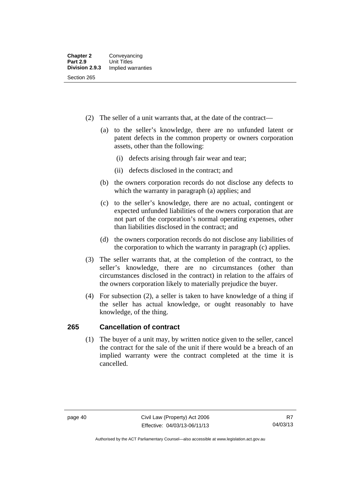- (2) The seller of a unit warrants that, at the date of the contract—
	- (a) to the seller's knowledge, there are no unfunded latent or patent defects in the common property or owners corporation assets, other than the following:
		- (i) defects arising through fair wear and tear;
		- (ii) defects disclosed in the contract; and
	- (b) the owners corporation records do not disclose any defects to which the warranty in paragraph (a) applies; and
	- (c) to the seller's knowledge, there are no actual, contingent or expected unfunded liabilities of the owners corporation that are not part of the corporation's normal operating expenses, other than liabilities disclosed in the contract; and
	- (d) the owners corporation records do not disclose any liabilities of the corporation to which the warranty in paragraph (c) applies.
- (3) The seller warrants that, at the completion of the contract, to the seller's knowledge, there are no circumstances (other than circumstances disclosed in the contract) in relation to the affairs of the owners corporation likely to materially prejudice the buyer.
- (4) For subsection (2), a seller is taken to have knowledge of a thing if the seller has actual knowledge, or ought reasonably to have knowledge, of the thing.

# **265 Cancellation of contract**

(1) The buyer of a unit may, by written notice given to the seller, cancel the contract for the sale of the unit if there would be a breach of an implied warranty were the contract completed at the time it is cancelled.

Authorised by the ACT Parliamentary Counsel—also accessible at www.legislation.act.gov.au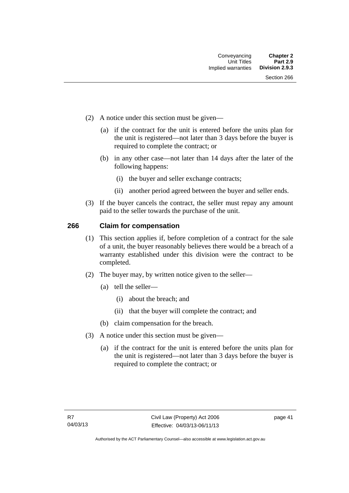- (2) A notice under this section must be given—
	- (a) if the contract for the unit is entered before the units plan for the unit is registered—not later than 3 days before the buyer is required to complete the contract; or
	- (b) in any other case—not later than 14 days after the later of the following happens:
		- (i) the buyer and seller exchange contracts;
		- (ii) another period agreed between the buyer and seller ends.
- (3) If the buyer cancels the contract, the seller must repay any amount paid to the seller towards the purchase of the unit.

#### **266 Claim for compensation**

- (1) This section applies if, before completion of a contract for the sale of a unit, the buyer reasonably believes there would be a breach of a warranty established under this division were the contract to be completed.
- (2) The buyer may, by written notice given to the seller—
	- (a) tell the seller—
		- (i) about the breach; and
		- (ii) that the buyer will complete the contract; and
	- (b) claim compensation for the breach.
- (3) A notice under this section must be given—
	- (a) if the contract for the unit is entered before the units plan for the unit is registered—not later than 3 days before the buyer is required to complete the contract; or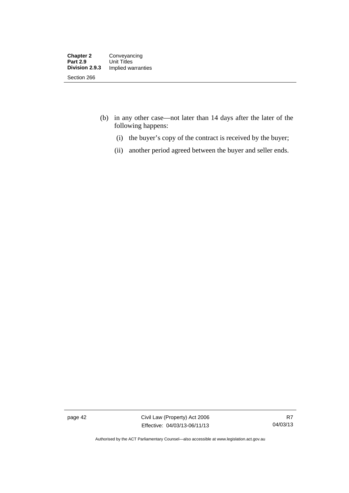- (b) in any other case—not later than 14 days after the later of the following happens:
	- (i) the buyer's copy of the contract is received by the buyer;
	- (ii) another period agreed between the buyer and seller ends.

page 42 Civil Law (Property) Act 2006 Effective: 04/03/13-06/11/13

Authorised by the ACT Parliamentary Counsel—also accessible at www.legislation.act.gov.au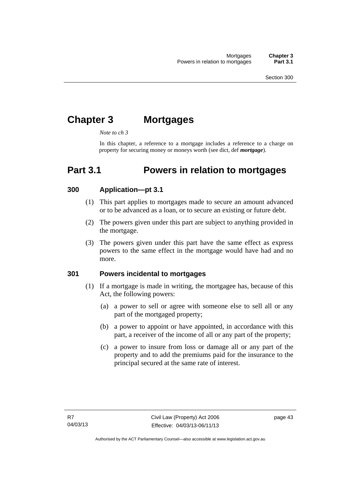# **Chapter 3 Mortgages**

*Note to ch 3* 

In this chapter, a reference to a mortgage includes a reference to a charge on property for securing money or moneys worth (see dict, def *mortgage*).

# **Part 3.1 Powers in relation to mortgages**

#### **300 Application—pt 3.1**

- (1) This part applies to mortgages made to secure an amount advanced or to be advanced as a loan, or to secure an existing or future debt.
- (2) The powers given under this part are subject to anything provided in the mortgage.
- (3) The powers given under this part have the same effect as express powers to the same effect in the mortgage would have had and no more.

### **301 Powers incidental to mortgages**

- (1) If a mortgage is made in writing, the mortgagee has, because of this Act, the following powers:
	- (a) a power to sell or agree with someone else to sell all or any part of the mortgaged property;
	- (b) a power to appoint or have appointed, in accordance with this part, a receiver of the income of all or any part of the property;
	- (c) a power to insure from loss or damage all or any part of the property and to add the premiums paid for the insurance to the principal secured at the same rate of interest.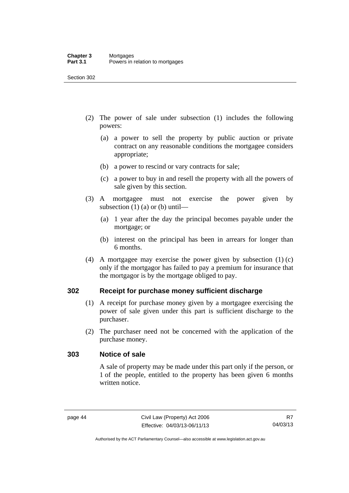- (2) The power of sale under subsection (1) includes the following powers:
	- (a) a power to sell the property by public auction or private contract on any reasonable conditions the mortgagee considers appropriate;
	- (b) a power to rescind or vary contracts for sale;
	- (c) a power to buy in and resell the property with all the powers of sale given by this section.
- (3) A mortgagee must not exercise the power given by subsection  $(1)$  (a) or (b) until—
	- (a) 1 year after the day the principal becomes payable under the mortgage; or
	- (b) interest on the principal has been in arrears for longer than 6 months.
- (4) A mortgagee may exercise the power given by subsection (1) (c) only if the mortgagor has failed to pay a premium for insurance that the mortgagor is by the mortgage obliged to pay.

#### **302 Receipt for purchase money sufficient discharge**

- (1) A receipt for purchase money given by a mortgagee exercising the power of sale given under this part is sufficient discharge to the purchaser.
- (2) The purchaser need not be concerned with the application of the purchase money.

#### **303 Notice of sale**

A sale of property may be made under this part only if the person, or 1 of the people, entitled to the property has been given 6 months written notice.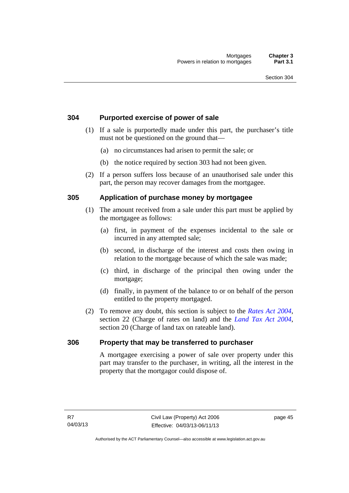# **304 Purported exercise of power of sale**

- (1) If a sale is purportedly made under this part, the purchaser's title must not be questioned on the ground that—
	- (a) no circumstances had arisen to permit the sale; or
	- (b) the notice required by section 303 had not been given.
- (2) If a person suffers loss because of an unauthorised sale under this part, the person may recover damages from the mortgagee.

# **305 Application of purchase money by mortgagee**

- (1) The amount received from a sale under this part must be applied by the mortgagee as follows:
	- (a) first, in payment of the expenses incidental to the sale or incurred in any attempted sale;
	- (b) second, in discharge of the interest and costs then owing in relation to the mortgage because of which the sale was made;
	- (c) third, in discharge of the principal then owing under the mortgage;
	- (d) finally, in payment of the balance to or on behalf of the person entitled to the property mortgaged.
- (2) To remove any doubt, this section is subject to the *[Rates Act 2004](http://www.legislation.act.gov.au/a/2004-3)*, section 22 (Charge of rates on land) and the *[Land Tax Act 2004](http://www.legislation.act.gov.au/a/2004-4)*, section 20 (Charge of land tax on rateable land).

#### **306 Property that may be transferred to purchaser**

A mortgagee exercising a power of sale over property under this part may transfer to the purchaser, in writing, all the interest in the property that the mortgagor could dispose of.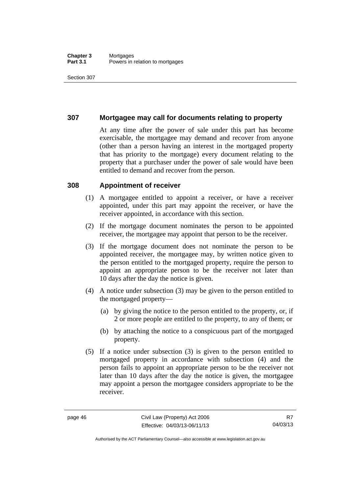#### **Chapter 3** Mortgages<br>**Part 3.1** Powers in i Powers in relation to mortgages

Section 307

# **307 Mortgagee may call for documents relating to property**

At any time after the power of sale under this part has become exercisable, the mortgagee may demand and recover from anyone (other than a person having an interest in the mortgaged property that has priority to the mortgage) every document relating to the property that a purchaser under the power of sale would have been entitled to demand and recover from the person.

#### **308 Appointment of receiver**

- (1) A mortgagee entitled to appoint a receiver, or have a receiver appointed, under this part may appoint the receiver, or have the receiver appointed, in accordance with this section.
- (2) If the mortgage document nominates the person to be appointed receiver, the mortgagee may appoint that person to be the receiver.
- (3) If the mortgage document does not nominate the person to be appointed receiver, the mortgagee may, by written notice given to the person entitled to the mortgaged property, require the person to appoint an appropriate person to be the receiver not later than 10 days after the day the notice is given.
- (4) A notice under subsection (3) may be given to the person entitled to the mortgaged property—
	- (a) by giving the notice to the person entitled to the property, or, if 2 or more people are entitled to the property, to any of them; or
	- (b) by attaching the notice to a conspicuous part of the mortgaged property.
- (5) If a notice under subsection (3) is given to the person entitled to mortgaged property in accordance with subsection (4) and the person fails to appoint an appropriate person to be the receiver not later than 10 days after the day the notice is given, the mortgagee may appoint a person the mortgagee considers appropriate to be the receiver.

Authorised by the ACT Parliamentary Counsel—also accessible at www.legislation.act.gov.au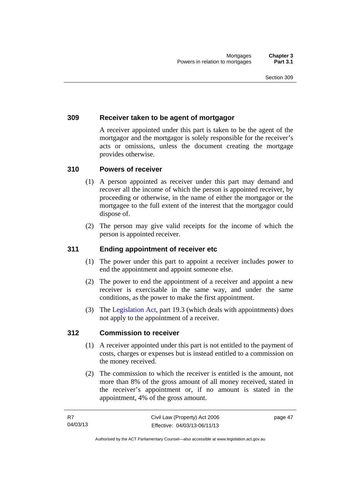# **309 Receiver taken to be agent of mortgagor**

A receiver appointed under this part is taken to be the agent of the mortgagor and the mortgagor is solely responsible for the receiver's acts or omissions, unless the document creating the mortgage provides otherwise.

#### **310 Powers of receiver**

- (1) A person appointed as receiver under this part may demand and recover all the income of which the person is appointed receiver, by proceeding or otherwise, in the name of either the mortgagor or the mortgagee to the full extent of the interest that the mortgagor could dispose of.
- (2) The person may give valid receipts for the income of which the person is appointed receiver.

### **311 Ending appointment of receiver etc**

- (1) The power under this part to appoint a receiver includes power to end the appointment and appoint someone else.
- (2) The power to end the appointment of a receiver and appoint a new receiver is exercisable in the same way, and under the same conditions, as the power to make the first appointment.
- (3) The [Legislation Act](http://www.legislation.act.gov.au/a/2001-14), part 19.3 (which deals with appointments) does not apply to the appointment of a receiver.

#### **312 Commission to receiver**

- (1) A receiver appointed under this part is not entitled to the payment of costs, charges or expenses but is instead entitled to a commission on the money received.
- (2) The commission to which the receiver is entitled is the amount, not more than 8% of the gross amount of all money received, stated in the receiver's appointment or, if no amount is stated in the appointment, 4% of the gross amount.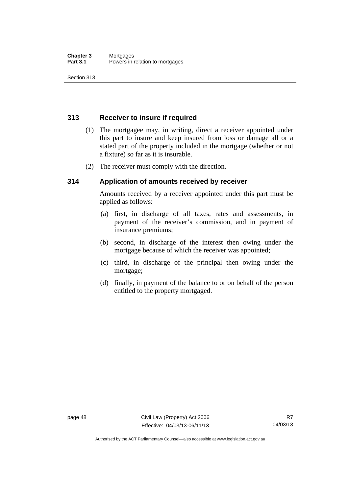Section 313

# **313 Receiver to insure if required**

- (1) The mortgagee may, in writing, direct a receiver appointed under this part to insure and keep insured from loss or damage all or a stated part of the property included in the mortgage (whether or not a fixture) so far as it is insurable.
- (2) The receiver must comply with the direction.

# **314 Application of amounts received by receiver**

Amounts received by a receiver appointed under this part must be applied as follows:

- (a) first, in discharge of all taxes, rates and assessments, in payment of the receiver's commission, and in payment of insurance premiums;
- (b) second, in discharge of the interest then owing under the mortgage because of which the receiver was appointed;
- (c) third, in discharge of the principal then owing under the mortgage;
- (d) finally, in payment of the balance to or on behalf of the person entitled to the property mortgaged.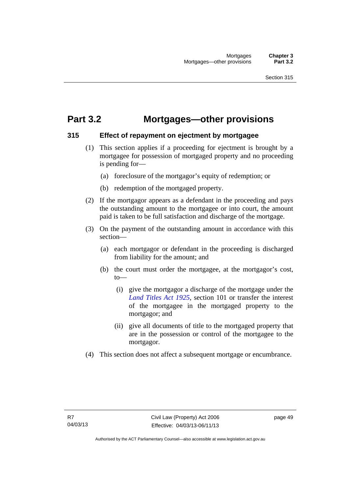# **Part 3.2 Mortgages—other provisions**

# **315 Effect of repayment on ejectment by mortgagee**

- (1) This section applies if a proceeding for ejectment is brought by a mortgagee for possession of mortgaged property and no proceeding is pending for—
	- (a) foreclosure of the mortgagor's equity of redemption; or
	- (b) redemption of the mortgaged property.
- (2) If the mortgagor appears as a defendant in the proceeding and pays the outstanding amount to the mortgagee or into court, the amount paid is taken to be full satisfaction and discharge of the mortgage.
- (3) On the payment of the outstanding amount in accordance with this section—
	- (a) each mortgagor or defendant in the proceeding is discharged from liability for the amount; and
	- (b) the court must order the mortgagee, at the mortgagor's cost, to—
		- (i) give the mortgagor a discharge of the mortgage under the *[Land Titles Act 1925](http://www.legislation.act.gov.au/a/1925-1)*, section 101 or transfer the interest of the mortgagee in the mortgaged property to the mortgagor; and
		- (ii) give all documents of title to the mortgaged property that are in the possession or control of the mortgagee to the mortgagor.
- (4) This section does not affect a subsequent mortgage or encumbrance.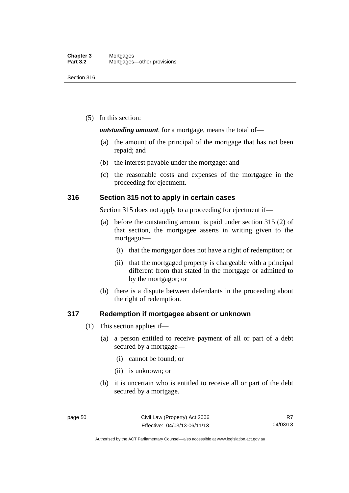(5) In this section:

*outstanding amount*, for a mortgage, means the total of—

- (a) the amount of the principal of the mortgage that has not been repaid; and
- (b) the interest payable under the mortgage; and
- (c) the reasonable costs and expenses of the mortgagee in the proceeding for ejectment.

# **316 Section 315 not to apply in certain cases**

Section 315 does not apply to a proceeding for ejectment if—

- (a) before the outstanding amount is paid under section 315 (2) of that section, the mortgagee asserts in writing given to the mortgagor—
	- (i) that the mortgagor does not have a right of redemption; or
	- (ii) that the mortgaged property is chargeable with a principal different from that stated in the mortgage or admitted to by the mortgagor; or
- (b) there is a dispute between defendants in the proceeding about the right of redemption.

#### **317 Redemption if mortgagee absent or unknown**

- (1) This section applies if—
	- (a) a person entitled to receive payment of all or part of a debt secured by a mortgage—
		- (i) cannot be found; or
		- (ii) is unknown; or
	- (b) it is uncertain who is entitled to receive all or part of the debt secured by a mortgage.

Authorised by the ACT Parliamentary Counsel—also accessible at www.legislation.act.gov.au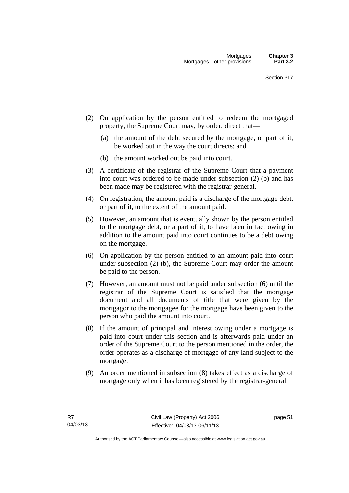- (2) On application by the person entitled to redeem the mortgaged property, the Supreme Court may, by order, direct that—
	- (a) the amount of the debt secured by the mortgage, or part of it, be worked out in the way the court directs; and
	- (b) the amount worked out be paid into court.
- (3) A certificate of the registrar of the Supreme Court that a payment into court was ordered to be made under subsection (2) (b) and has been made may be registered with the registrar-general.
- (4) On registration, the amount paid is a discharge of the mortgage debt, or part of it, to the extent of the amount paid.
- (5) However, an amount that is eventually shown by the person entitled to the mortgage debt, or a part of it, to have been in fact owing in addition to the amount paid into court continues to be a debt owing on the mortgage.
- (6) On application by the person entitled to an amount paid into court under subsection (2) (b), the Supreme Court may order the amount be paid to the person.
- (7) However, an amount must not be paid under subsection (6) until the registrar of the Supreme Court is satisfied that the mortgage document and all documents of title that were given by the mortgagor to the mortgagee for the mortgage have been given to the person who paid the amount into court.
- (8) If the amount of principal and interest owing under a mortgage is paid into court under this section and is afterwards paid under an order of the Supreme Court to the person mentioned in the order, the order operates as a discharge of mortgage of any land subject to the mortgage.
- (9) An order mentioned in subsection (8) takes effect as a discharge of mortgage only when it has been registered by the registrar-general.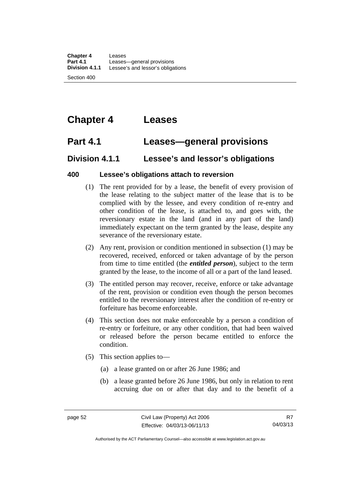# **Chapter 4 Leases**

# **Part 4.1 Leases—general provisions**

# **Division 4.1.1 Lessee's and lessor's obligations**

# **400 Lessee's obligations attach to reversion**

- (1) The rent provided for by a lease, the benefit of every provision of the lease relating to the subject matter of the lease that is to be complied with by the lessee, and every condition of re-entry and other condition of the lease, is attached to, and goes with, the reversionary estate in the land (and in any part of the land) immediately expectant on the term granted by the lease, despite any severance of the reversionary estate.
- (2) Any rent, provision or condition mentioned in subsection (1) may be recovered, received, enforced or taken advantage of by the person from time to time entitled (the *entitled person*), subject to the term granted by the lease, to the income of all or a part of the land leased.
- (3) The entitled person may recover, receive, enforce or take advantage of the rent, provision or condition even though the person becomes entitled to the reversionary interest after the condition of re-entry or forfeiture has become enforceable.
- (4) This section does not make enforceable by a person a condition of re-entry or forfeiture, or any other condition, that had been waived or released before the person became entitled to enforce the condition.
- (5) This section applies to—
	- (a) a lease granted on or after 26 June 1986; and
	- (b) a lease granted before 26 June 1986, but only in relation to rent accruing due on or after that day and to the benefit of a

Authorised by the ACT Parliamentary Counsel—also accessible at www.legislation.act.gov.au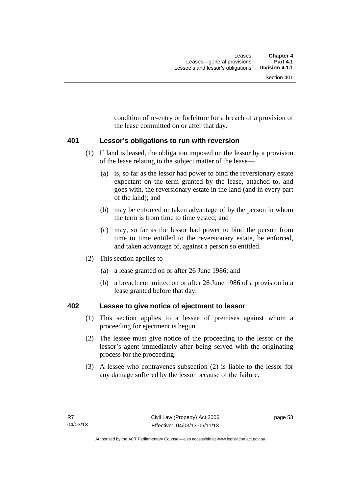condition of re-entry or forfeiture for a breach of a provision of the lease committed on or after that day.

#### **401 Lessor's obligations to run with reversion**

- (1) If land is leased, the obligation imposed on the lessor by a provision of the lease relating to the subject matter of the lease—
	- (a) is, so far as the lessor had power to bind the reversionary estate expectant on the term granted by the lease, attached to, and goes with, the reversionary estate in the land (and in every part of the land); and
	- (b) may be enforced or taken advantage of by the person in whom the term is from time to time vested; and
	- (c) may, so far as the lessor had power to bind the person from time to time entitled to the reversionary estate, be enforced, and taken advantage of, against a person so entitled.
- (2) This section applies to—
	- (a) a lease granted on or after 26 June 1986; and
	- (b) a breach committed on or after 26 June 1986 of a provision in a lease granted before that day.

# **402 Lessee to give notice of ejectment to lessor**

- (1) This section applies to a lessee of premises against whom a proceeding for ejectment is begun.
- (2) The lessee must give notice of the proceeding to the lessor or the lessor's agent immediately after being served with the originating process for the proceeding.
- (3) A lessee who contravenes subsection (2) is liable to the lessor for any damage suffered by the lessor because of the failure.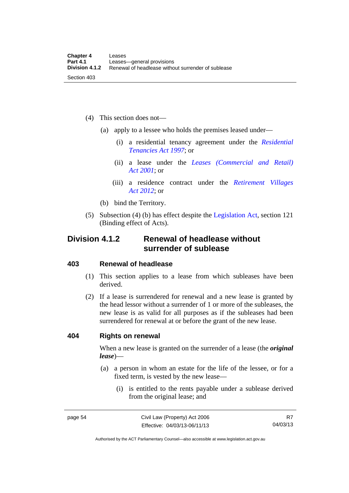- (4) This section does not—
	- (a) apply to a lessee who holds the premises leased under—
		- (i) a residential tenancy agreement under the *[Residential](http://www.legislation.act.gov.au/a/1997-84)  [Tenancies Act 1997](http://www.legislation.act.gov.au/a/1997-84)*; or
		- (ii) a lease under the *[Leases \(Commercial and Retail\)](http://www.legislation.act.gov.au/a/2001-18)  [Act 2001](http://www.legislation.act.gov.au/a/2001-18)*; or
		- (iii) a residence contract under the *[Retirement Villages](http://www.legislation.act.gov.au/a/2012-38)  [Act 2012](http://www.legislation.act.gov.au/a/2012-38)*; or
	- (b) bind the Territory.
- (5) Subsection (4) (b) has effect despite the [Legislation Act](http://www.legislation.act.gov.au/a/2001-14), section 121 (Binding effect of Acts).

# **Division 4.1.2 Renewal of headlease without surrender of sublease**

#### **403 Renewal of headlease**

- (1) This section applies to a lease from which subleases have been derived.
- (2) If a lease is surrendered for renewal and a new lease is granted by the head lessor without a surrender of 1 or more of the subleases, the new lease is as valid for all purposes as if the subleases had been surrendered for renewal at or before the grant of the new lease.

#### **404 Rights on renewal**

When a new lease is granted on the surrender of a lease (the *original lease*)—

- (a) a person in whom an estate for the life of the lessee, or for a fixed term, is vested by the new lease—
	- (i) is entitled to the rents payable under a sublease derived from the original lease; and

R7 04/03/13

Authorised by the ACT Parliamentary Counsel—also accessible at www.legislation.act.gov.au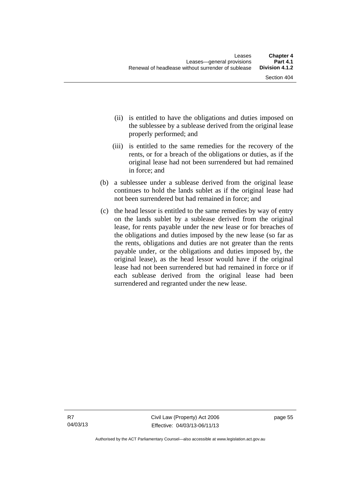- (ii) is entitled to have the obligations and duties imposed on the sublessee by a sublease derived from the original lease properly performed; and
- (iii) is entitled to the same remedies for the recovery of the rents, or for a breach of the obligations or duties, as if the original lease had not been surrendered but had remained in force; and
- (b) a sublessee under a sublease derived from the original lease continues to hold the lands sublet as if the original lease had not been surrendered but had remained in force; and
- (c) the head lessor is entitled to the same remedies by way of entry on the lands sublet by a sublease derived from the original lease, for rents payable under the new lease or for breaches of the obligations and duties imposed by the new lease (so far as the rents, obligations and duties are not greater than the rents payable under, or the obligations and duties imposed by, the original lease), as the head lessor would have if the original lease had not been surrendered but had remained in force or if each sublease derived from the original lease had been surrendered and regranted under the new lease.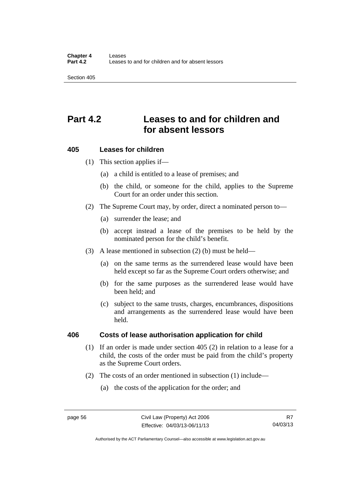Section 405

# **Part 4.2 Leases to and for children and for absent lessors**

# **405 Leases for children**

(1) This section applies if—

- (a) a child is entitled to a lease of premises; and
- (b) the child, or someone for the child, applies to the Supreme Court for an order under this section.
- (2) The Supreme Court may, by order, direct a nominated person to—
	- (a) surrender the lease; and
	- (b) accept instead a lease of the premises to be held by the nominated person for the child's benefit.
- (3) A lease mentioned in subsection (2) (b) must be held—
	- (a) on the same terms as the surrendered lease would have been held except so far as the Supreme Court orders otherwise; and
	- (b) for the same purposes as the surrendered lease would have been held; and
	- (c) subject to the same trusts, charges, encumbrances, dispositions and arrangements as the surrendered lease would have been held.

#### **406 Costs of lease authorisation application for child**

- (1) If an order is made under section 405 (2) in relation to a lease for a child, the costs of the order must be paid from the child's property as the Supreme Court orders.
- (2) The costs of an order mentioned in subsection (1) include—
	- (a) the costs of the application for the order; and

Authorised by the ACT Parliamentary Counsel—also accessible at www.legislation.act.gov.au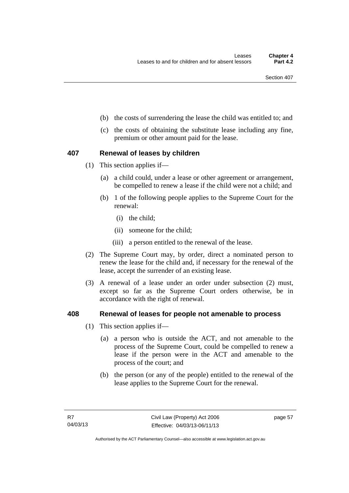- (b) the costs of surrendering the lease the child was entitled to; and
- (c) the costs of obtaining the substitute lease including any fine, premium or other amount paid for the lease.

# **407 Renewal of leases by children**

- (1) This section applies if—
	- (a) a child could, under a lease or other agreement or arrangement, be compelled to renew a lease if the child were not a child; and
	- (b) 1 of the following people applies to the Supreme Court for the renewal:
		- (i) the child;
		- (ii) someone for the child;
		- (iii) a person entitled to the renewal of the lease.
- (2) The Supreme Court may, by order, direct a nominated person to renew the lease for the child and, if necessary for the renewal of the lease, accept the surrender of an existing lease.
- (3) A renewal of a lease under an order under subsection (2) must, except so far as the Supreme Court orders otherwise, be in accordance with the right of renewal.

# **408 Renewal of leases for people not amenable to process**

- (1) This section applies if—
	- (a) a person who is outside the ACT, and not amenable to the process of the Supreme Court, could be compelled to renew a lease if the person were in the ACT and amenable to the process of the court; and
	- (b) the person (or any of the people) entitled to the renewal of the lease applies to the Supreme Court for the renewal.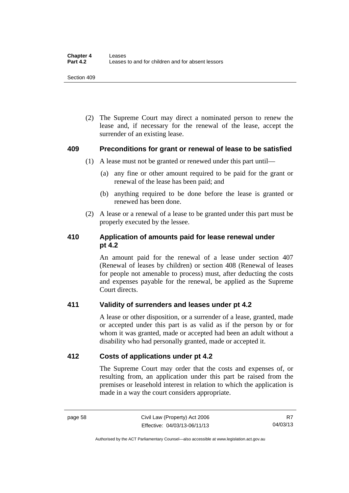(2) The Supreme Court may direct a nominated person to renew the lease and, if necessary for the renewal of the lease, accept the surrender of an existing lease.

#### **409 Preconditions for grant or renewal of lease to be satisfied**

- (1) A lease must not be granted or renewed under this part until—
	- (a) any fine or other amount required to be paid for the grant or renewal of the lease has been paid; and
	- (b) anything required to be done before the lease is granted or renewed has been done.
- (2) A lease or a renewal of a lease to be granted under this part must be properly executed by the lessee.

# **410 Application of amounts paid for lease renewal under pt 4.2**

An amount paid for the renewal of a lease under section 407 (Renewal of leases by children) or section 408 (Renewal of leases for people not amenable to process) must, after deducting the costs and expenses payable for the renewal, be applied as the Supreme Court directs.

# **411 Validity of surrenders and leases under pt 4.2**

A lease or other disposition, or a surrender of a lease, granted, made or accepted under this part is as valid as if the person by or for whom it was granted, made or accepted had been an adult without a disability who had personally granted, made or accepted it.

# **412 Costs of applications under pt 4.2**

The Supreme Court may order that the costs and expenses of, or resulting from, an application under this part be raised from the premises or leasehold interest in relation to which the application is made in a way the court considers appropriate.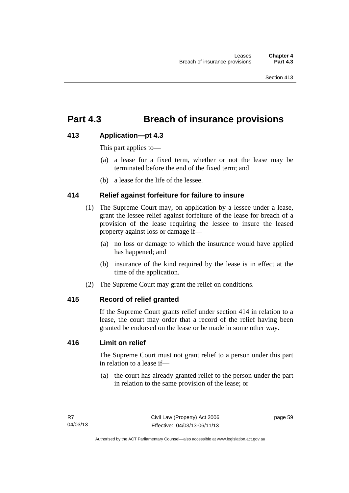# **Part 4.3 Breach of insurance provisions**

# **413 Application—pt 4.3**

This part applies to—

- (a) a lease for a fixed term, whether or not the lease may be terminated before the end of the fixed term; and
- (b) a lease for the life of the lessee.

# **414 Relief against forfeiture for failure to insure**

- (1) The Supreme Court may, on application by a lessee under a lease, grant the lessee relief against forfeiture of the lease for breach of a provision of the lease requiring the lessee to insure the leased property against loss or damage if—
	- (a) no loss or damage to which the insurance would have applied has happened; and
	- (b) insurance of the kind required by the lease is in effect at the time of the application.
- (2) The Supreme Court may grant the relief on conditions.

#### **415 Record of relief granted**

If the Supreme Court grants relief under section 414 in relation to a lease, the court may order that a record of the relief having been granted be endorsed on the lease or be made in some other way.

# **416 Limit on relief**

The Supreme Court must not grant relief to a person under this part in relation to a lease if—

 (a) the court has already granted relief to the person under the part in relation to the same provision of the lease; or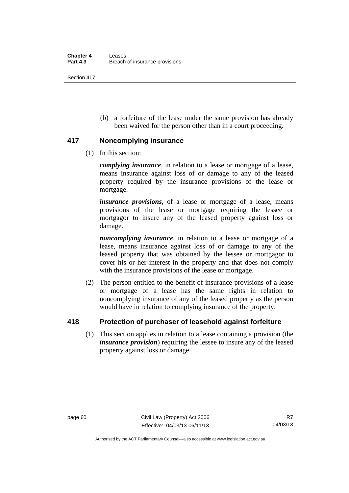Section 417

 (b) a forfeiture of the lease under the same provision has already been waived for the person other than in a court proceeding.

# **417 Noncomplying insurance**

(1) In this section:

*complying insurance*, in relation to a lease or mortgage of a lease, means insurance against loss of or damage to any of the leased property required by the insurance provisions of the lease or mortgage.

*insurance provisions*, of a lease or mortgage of a lease, means provisions of the lease or mortgage requiring the lessee or mortgagor to insure any of the leased property against loss or damage.

*noncomplying insurance*, in relation to a lease or mortgage of a lease, means insurance against loss of or damage to any of the leased property that was obtained by the lessee or mortgagor to cover his or her interest in the property and that does not comply with the insurance provisions of the lease or mortgage.

 (2) The person entitled to the benefit of insurance provisions of a lease or mortgage of a lease has the same rights in relation to noncomplying insurance of any of the leased property as the person would have in relation to complying insurance of the property.

# **418 Protection of purchaser of leasehold against forfeiture**

(1) This section applies in relation to a lease containing a provision (the *insurance provision*) requiring the lessee to insure any of the leased property against loss or damage.

Authorised by the ACT Parliamentary Counsel—also accessible at www.legislation.act.gov.au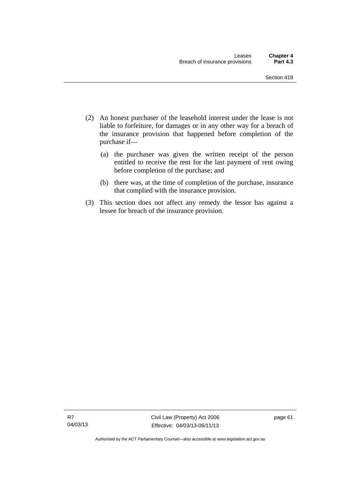- (2) An honest purchaser of the leasehold interest under the lease is not liable to forfeiture, for damages or in any other way for a breach of the insurance provision that happened before completion of the purchase if—
	- (a) the purchaser was given the written receipt of the person entitled to receive the rent for the last payment of rent owing before completion of the purchase; and
	- (b) there was, at the time of completion of the purchase, insurance that complied with the insurance provision.
- (3) This section does not affect any remedy the lessor has against a lessee for breach of the insurance provision.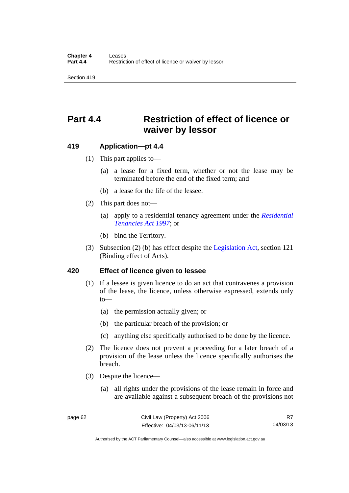Section 419

# **Part 4.4 Restriction of effect of licence or waiver by lessor**

#### **419 Application—pt 4.4**

- (1) This part applies to—
	- (a) a lease for a fixed term, whether or not the lease may be terminated before the end of the fixed term; and
	- (b) a lease for the life of the lessee.
- (2) This part does not—
	- (a) apply to a residential tenancy agreement under the *[Residential](http://www.legislation.act.gov.au/a/1997-84)  [Tenancies Act 1997](http://www.legislation.act.gov.au/a/1997-84)*; or
	- (b) bind the Territory.
- (3) Subsection (2) (b) has effect despite the [Legislation Act](http://www.legislation.act.gov.au/a/2001-14), section 121 (Binding effect of Acts).

#### **420 Effect of licence given to lessee**

- (1) If a lessee is given licence to do an act that contravenes a provision of the lease, the licence, unless otherwise expressed, extends only  $to$ —
	- (a) the permission actually given; or
	- (b) the particular breach of the provision; or
	- (c) anything else specifically authorised to be done by the licence.
- (2) The licence does not prevent a proceeding for a later breach of a provision of the lease unless the licence specifically authorises the breach.
- (3) Despite the licence—
	- (a) all rights under the provisions of the lease remain in force and are available against a subsequent breach of the provisions not

R7 04/03/13

Authorised by the ACT Parliamentary Counsel—also accessible at www.legislation.act.gov.au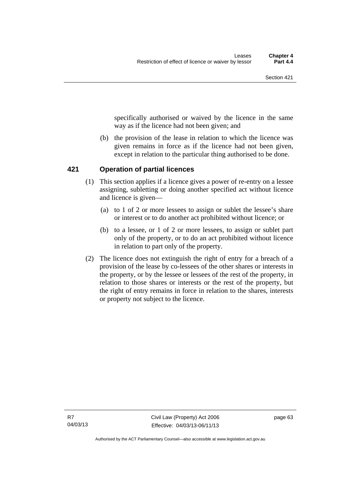specifically authorised or waived by the licence in the same way as if the licence had not been given; and

 (b) the provision of the lease in relation to which the licence was given remains in force as if the licence had not been given, except in relation to the particular thing authorised to be done.

## **421 Operation of partial licences**

- (1) This section applies if a licence gives a power of re-entry on a lessee assigning, subletting or doing another specified act without licence and licence is given—
	- (a) to 1 of 2 or more lessees to assign or sublet the lessee's share or interest or to do another act prohibited without licence; or
	- (b) to a lessee, or 1 of 2 or more lessees, to assign or sublet part only of the property, or to do an act prohibited without licence in relation to part only of the property.
- (2) The licence does not extinguish the right of entry for a breach of a provision of the lease by co-lessees of the other shares or interests in the property, or by the lessee or lessees of the rest of the property, in relation to those shares or interests or the rest of the property, but the right of entry remains in force in relation to the shares, interests or property not subject to the licence.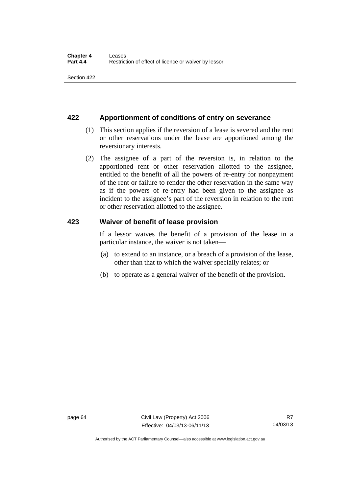## **422 Apportionment of conditions of entry on severance**

- (1) This section applies if the reversion of a lease is severed and the rent or other reservations under the lease are apportioned among the reversionary interests.
- (2) The assignee of a part of the reversion is, in relation to the apportioned rent or other reservation allotted to the assignee, entitled to the benefit of all the powers of re-entry for nonpayment of the rent or failure to render the other reservation in the same way as if the powers of re-entry had been given to the assignee as incident to the assignee's part of the reversion in relation to the rent or other reservation allotted to the assignee.

## **423 Waiver of benefit of lease provision**

If a lessor waives the benefit of a provision of the lease in a particular instance, the waiver is not taken—

- (a) to extend to an instance, or a breach of a provision of the lease, other than that to which the waiver specially relates; or
- (b) to operate as a general waiver of the benefit of the provision.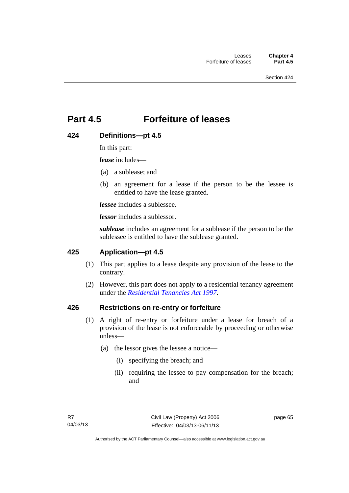# **Part 4.5 Forfeiture of leases**

## **424 Definitions—pt 4.5**

In this part:

*lease* includes—

- (a) a sublease; and
- (b) an agreement for a lease if the person to be the lessee is entitled to have the lease granted.

*lessee* includes a sublessee.

*lessor* includes a sublessor.

*sublease* includes an agreement for a sublease if the person to be the sublessee is entitled to have the sublease granted.

## **425 Application—pt 4.5**

- (1) This part applies to a lease despite any provision of the lease to the contrary.
- (2) However, this part does not apply to a residential tenancy agreement under the *[Residential Tenancies Act 1997](http://www.legislation.act.gov.au/a/1997-84)*.

## **426 Restrictions on re-entry or forfeiture**

- (1) A right of re-entry or forfeiture under a lease for breach of a provision of the lease is not enforceable by proceeding or otherwise unless—
	- (a) the lessor gives the lessee a notice—
		- (i) specifying the breach; and
		- (ii) requiring the lessee to pay compensation for the breach; and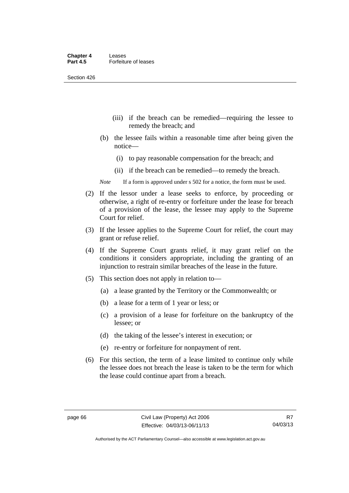Section 426

- (iii) if the breach can be remedied—requiring the lessee to remedy the breach; and
- (b) the lessee fails within a reasonable time after being given the notice—
	- (i) to pay reasonable compensation for the breach; and
	- (ii) if the breach can be remedied—to remedy the breach.
- *Note* If a form is approved under s 502 for a notice, the form must be used.
- (2) If the lessor under a lease seeks to enforce, by proceeding or otherwise, a right of re-entry or forfeiture under the lease for breach of a provision of the lease, the lessee may apply to the Supreme Court for relief.
- (3) If the lessee applies to the Supreme Court for relief, the court may grant or refuse relief.
- (4) If the Supreme Court grants relief, it may grant relief on the conditions it considers appropriate, including the granting of an injunction to restrain similar breaches of the lease in the future.
- (5) This section does not apply in relation to—
	- (a) a lease granted by the Territory or the Commonwealth; or
	- (b) a lease for a term of 1 year or less; or
	- (c) a provision of a lease for forfeiture on the bankruptcy of the lessee; or
	- (d) the taking of the lessee's interest in execution; or
	- (e) re-entry or forfeiture for nonpayment of rent.
- (6) For this section, the term of a lease limited to continue only while the lessee does not breach the lease is taken to be the term for which the lease could continue apart from a breach.

Authorised by the ACT Parliamentary Counsel—also accessible at www.legislation.act.gov.au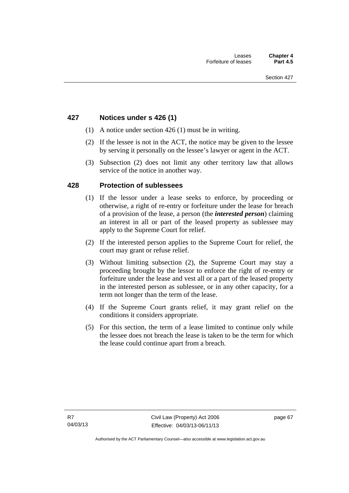## **427 Notices under s 426 (1)**

- (1) A notice under section 426 (1) must be in writing.
- (2) If the lessee is not in the ACT, the notice may be given to the lessee by serving it personally on the lessee's lawyer or agent in the ACT.
- (3) Subsection (2) does not limit any other territory law that allows service of the notice in another way.

## **428 Protection of sublessees**

- (1) If the lessor under a lease seeks to enforce, by proceeding or otherwise, a right of re-entry or forfeiture under the lease for breach of a provision of the lease, a person (the *interested person*) claiming an interest in all or part of the leased property as sublessee may apply to the Supreme Court for relief.
- (2) If the interested person applies to the Supreme Court for relief, the court may grant or refuse relief.
- (3) Without limiting subsection (2), the Supreme Court may stay a proceeding brought by the lessor to enforce the right of re-entry or forfeiture under the lease and vest all or a part of the leased property in the interested person as sublessee, or in any other capacity, for a term not longer than the term of the lease.
- (4) If the Supreme Court grants relief, it may grant relief on the conditions it considers appropriate.
- (5) For this section, the term of a lease limited to continue only while the lessee does not breach the lease is taken to be the term for which the lease could continue apart from a breach.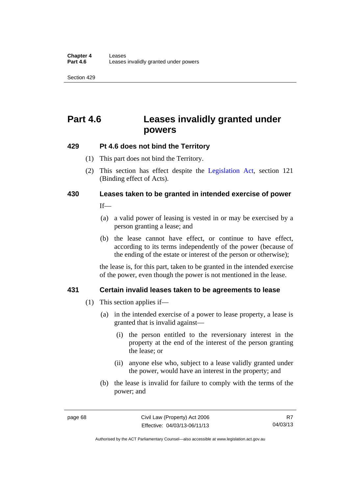Section 429

# **Part 4.6 Leases invalidly granted under powers**

## **429 Pt 4.6 does not bind the Territory**

- (1) This part does not bind the Territory.
- (2) This section has effect despite the [Legislation Act](http://www.legislation.act.gov.au/a/2001-14)*,* section 121 (Binding effect of Acts).

# **430 Leases taken to be granted in intended exercise of power**

 $If$ <sub>—</sub>

- (a) a valid power of leasing is vested in or may be exercised by a person granting a lease; and
- (b) the lease cannot have effect, or continue to have effect, according to its terms independently of the power (because of the ending of the estate or interest of the person or otherwise);

the lease is, for this part, taken to be granted in the intended exercise of the power, even though the power is not mentioned in the lease.

## **431 Certain invalid leases taken to be agreements to lease**

- (1) This section applies if—
	- (a) in the intended exercise of a power to lease property, a lease is granted that is invalid against—
		- (i) the person entitled to the reversionary interest in the property at the end of the interest of the person granting the lease; or
		- (ii) anyone else who, subject to a lease validly granted under the power, would have an interest in the property; and
	- (b) the lease is invalid for failure to comply with the terms of the power; and

Authorised by the ACT Parliamentary Counsel—also accessible at www.legislation.act.gov.au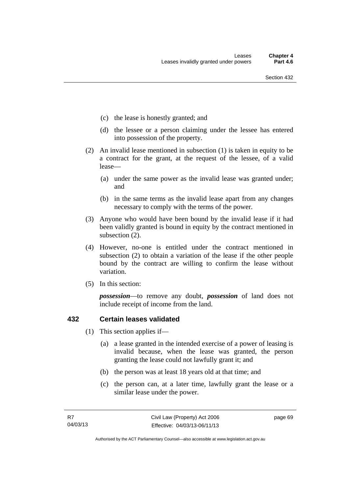- (c) the lease is honestly granted; and
- (d) the lessee or a person claiming under the lessee has entered into possession of the property.
- (2) An invalid lease mentioned in subsection (1) is taken in equity to be a contract for the grant, at the request of the lessee, of a valid lease—
	- (a) under the same power as the invalid lease was granted under; and
	- (b) in the same terms as the invalid lease apart from any changes necessary to comply with the terms of the power.
- (3) Anyone who would have been bound by the invalid lease if it had been validly granted is bound in equity by the contract mentioned in subsection (2).
- (4) However, no-one is entitled under the contract mentioned in subsection (2) to obtain a variation of the lease if the other people bound by the contract are willing to confirm the lease without variation.
- (5) In this section:

*possession*—to remove any doubt, *possession* of land does not include receipt of income from the land.

## **432 Certain leases validated**

- (1) This section applies if—
	- (a) a lease granted in the intended exercise of a power of leasing is invalid because, when the lease was granted, the person granting the lease could not lawfully grant it; and
	- (b) the person was at least 18 years old at that time; and
	- (c) the person can, at a later time, lawfully grant the lease or a similar lease under the power.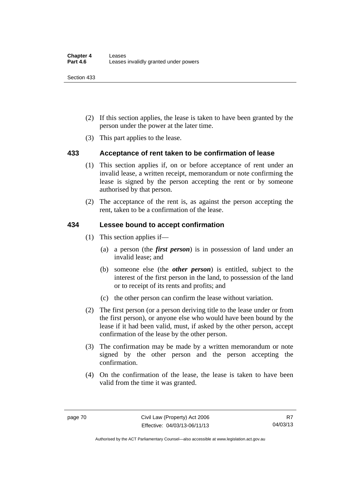Section 433

- (2) If this section applies, the lease is taken to have been granted by the person under the power at the later time.
- (3) This part applies to the lease.

## **433 Acceptance of rent taken to be confirmation of lease**

- (1) This section applies if, on or before acceptance of rent under an invalid lease, a written receipt, memorandum or note confirming the lease is signed by the person accepting the rent or by someone authorised by that person.
- (2) The acceptance of the rent is, as against the person accepting the rent, taken to be a confirmation of the lease.

## **434 Lessee bound to accept confirmation**

- (1) This section applies if—
	- (a) a person (the *first person*) is in possession of land under an invalid lease; and
	- (b) someone else (the *other person*) is entitled, subject to the interest of the first person in the land, to possession of the land or to receipt of its rents and profits; and
	- (c) the other person can confirm the lease without variation.
- (2) The first person (or a person deriving title to the lease under or from the first person), or anyone else who would have been bound by the lease if it had been valid, must, if asked by the other person, accept confirmation of the lease by the other person.
- (3) The confirmation may be made by a written memorandum or note signed by the other person and the person accepting the confirmation.
- (4) On the confirmation of the lease, the lease is taken to have been valid from the time it was granted.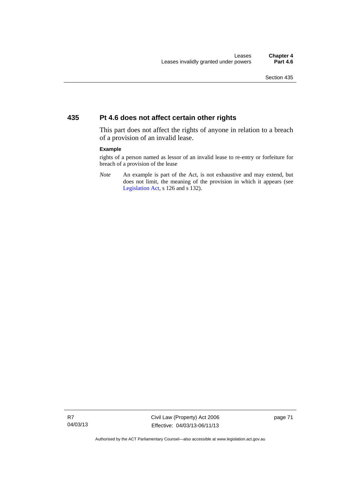## **435 Pt 4.6 does not affect certain other rights**

This part does not affect the rights of anyone in relation to a breach of a provision of an invalid lease.

#### **Example**

rights of a person named as lessor of an invalid lease to re-entry or forfeiture for breach of a provision of the lease

*Note* An example is part of the Act, is not exhaustive and may extend, but does not limit, the meaning of the provision in which it appears (see [Legislation Act,](http://www.legislation.act.gov.au/a/2001-14) s 126 and s 132).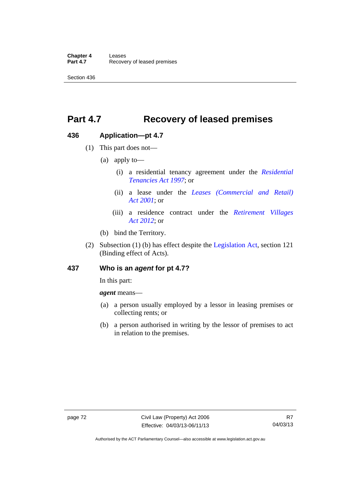**Chapter 4 Leases**<br>**Part 4.7** Recove **Recovery of leased premises** 

Section 436

# **Part 4.7 Recovery of leased premises**

## **436 Application—pt 4.7**

- (1) This part does not—
	- (a) apply to—
		- (i) a residential tenancy agreement under the *[Residential](http://www.legislation.act.gov.au/a/1997-84)  [Tenancies Act 1997](http://www.legislation.act.gov.au/a/1997-84)*; or
		- (ii) a lease under the *[Leases \(Commercial and Retail\)](http://www.legislation.act.gov.au/a/2001-18)  [Act 2001](http://www.legislation.act.gov.au/a/2001-18)*; or
		- (iii) a residence contract under the *[Retirement Villages](http://www.legislation.act.gov.au/a/2012-38)  [Act 2012](http://www.legislation.act.gov.au/a/2012-38)*; or
	- (b) bind the Territory.
- (2) Subsection (1) (b) has effect despite the [Legislation Act](http://www.legislation.act.gov.au/a/2001-14), section 121 (Binding effect of Acts).

## **437 Who is an** *agent* **for pt 4.7?**

In this part:

*agent* means—

- (a) a person usually employed by a lessor in leasing premises or collecting rents; or
- (b) a person authorised in writing by the lessor of premises to act in relation to the premises.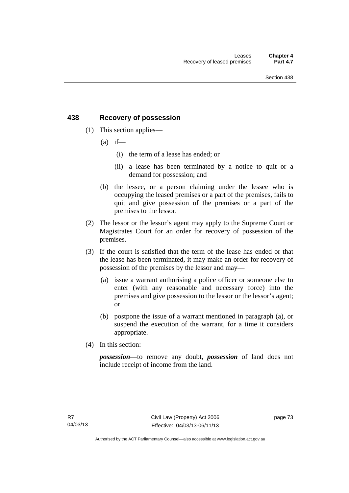# **438 Recovery of possession**

- (1) This section applies—
	- $(a)$  if—
		- (i) the term of a lease has ended; or
		- (ii) a lease has been terminated by a notice to quit or a demand for possession; and
	- (b) the lessee, or a person claiming under the lessee who is occupying the leased premises or a part of the premises, fails to quit and give possession of the premises or a part of the premises to the lessor.
- (2) The lessor or the lessor's agent may apply to the Supreme Court or Magistrates Court for an order for recovery of possession of the premises.
- (3) If the court is satisfied that the term of the lease has ended or that the lease has been terminated, it may make an order for recovery of possession of the premises by the lessor and may—
	- (a) issue a warrant authorising a police officer or someone else to enter (with any reasonable and necessary force) into the premises and give possession to the lessor or the lessor's agent; or
	- (b) postpone the issue of a warrant mentioned in paragraph (a), or suspend the execution of the warrant, for a time it considers appropriate.
- (4) In this section:

*possession*—to remove any doubt, *possession* of land does not include receipt of income from the land.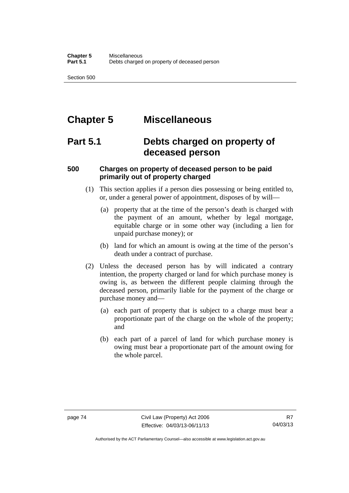Section 500

# **Chapter 5 Miscellaneous**

# **Part 5.1 Debts charged on property of deceased person**

# **500 Charges on property of deceased person to be paid primarily out of property charged**

- (1) This section applies if a person dies possessing or being entitled to, or, under a general power of appointment, disposes of by will—
	- (a) property that at the time of the person's death is charged with the payment of an amount, whether by legal mortgage, equitable charge or in some other way (including a lien for unpaid purchase money); or
	- (b) land for which an amount is owing at the time of the person's death under a contract of purchase.
- (2) Unless the deceased person has by will indicated a contrary intention, the property charged or land for which purchase money is owing is, as between the different people claiming through the deceased person, primarily liable for the payment of the charge or purchase money and—
	- (a) each part of property that is subject to a charge must bear a proportionate part of the charge on the whole of the property; and
	- (b) each part of a parcel of land for which purchase money is owing must bear a proportionate part of the amount owing for the whole parcel.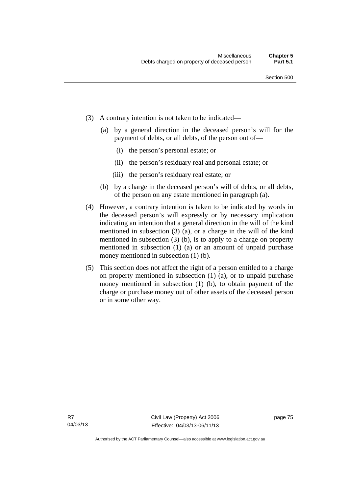- (3) A contrary intention is not taken to be indicated—
	- (a) by a general direction in the deceased person's will for the payment of debts, or all debts, of the person out of—
		- (i) the person's personal estate; or
		- (ii) the person's residuary real and personal estate; or
		- (iii) the person's residuary real estate; or
	- (b) by a charge in the deceased person's will of debts, or all debts, of the person on any estate mentioned in paragraph (a).
- (4) However, a contrary intention is taken to be indicated by words in the deceased person's will expressly or by necessary implication indicating an intention that a general direction in the will of the kind mentioned in subsection (3) (a), or a charge in the will of the kind mentioned in subsection (3) (b), is to apply to a charge on property mentioned in subsection (1) (a) or an amount of unpaid purchase money mentioned in subsection (1) (b).
- (5) This section does not affect the right of a person entitled to a charge on property mentioned in subsection (1) (a), or to unpaid purchase money mentioned in subsection (1) (b), to obtain payment of the charge or purchase money out of other assets of the deceased person or in some other way.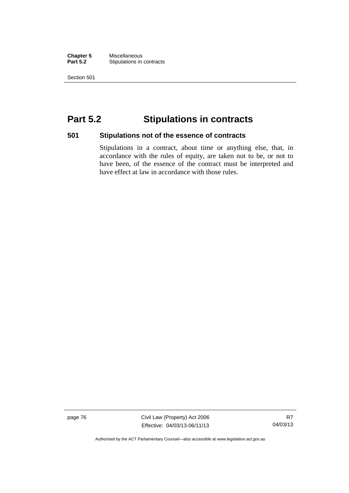**Chapter 5** Miscellaneous<br>**Part 5.2** Stipulations in **Stipulations in contracts** 

Section 501

# **Part 5.2 Stipulations in contracts**

## **501 Stipulations not of the essence of contracts**

Stipulations in a contract, about time or anything else, that, in accordance with the rules of equity, are taken not to be, or not to have been, of the essence of the contract must be interpreted and have effect at law in accordance with those rules.

page 76 Civil Law (Property) Act 2006 Effective: 04/03/13-06/11/13

R7 04/03/13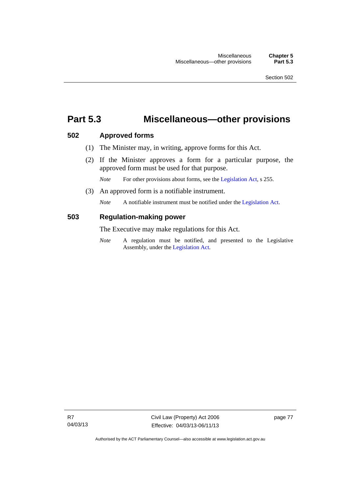# **Part 5.3 Miscellaneous—other provisions**

## **502 Approved forms**

- (1) The Minister may, in writing, approve forms for this Act.
- (2) If the Minister approves a form for a particular purpose, the approved form must be used for that purpose.

*Note* For other provisions about forms, see the [Legislation Act,](http://www.legislation.act.gov.au/a/2001-14) s 255.

(3) An approved form is a notifiable instrument.

*Note* A notifiable instrument must be notified under the [Legislation Act](http://www.legislation.act.gov.au/a/2001-14).

## **503 Regulation-making power**

The Executive may make regulations for this Act.

*Note* A regulation must be notified, and presented to the Legislative Assembly, under the [Legislation Act](http://www.legislation.act.gov.au/a/2001-14).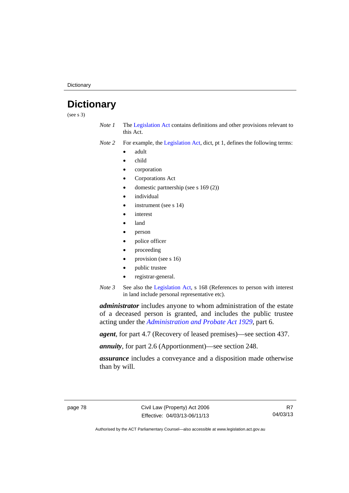**Dictionary** 

# **Dictionary**

(see s 3)

- *Note 1* The [Legislation Act](http://www.legislation.act.gov.au/a/2001-14) contains definitions and other provisions relevant to this Act.
- *Note 2* For example, the [Legislation Act,](http://www.legislation.act.gov.au/a/2001-14) dict, pt 1, defines the following terms:
	- adult
	- child
	- corporation
	- Corporations Act
	- domestic partnership (see s 169 (2))
	- individual
	- instrument (see s 14)
	- interest
	- land
	- person
	- police officer
	- proceeding
	- provision (see s 16)
	- public trustee
	- registrar-general.
- *Note 3* See also the [Legislation Act,](http://www.legislation.act.gov.au/a/2001-14) s 168 (References to person with interest in land include personal representative etc).

*administrator* includes anyone to whom administration of the estate of a deceased person is granted, and includes the public trustee acting under the *[Administration and Probate Act 1929](http://www.legislation.act.gov.au/a/1929-18)*, part 6.

*agent*, for part 4.7 (Recovery of leased premises)—see section 437.

*annuity*, for part 2.6 (Apportionment)—see section 248.

*assurance* includes a conveyance and a disposition made otherwise than by will.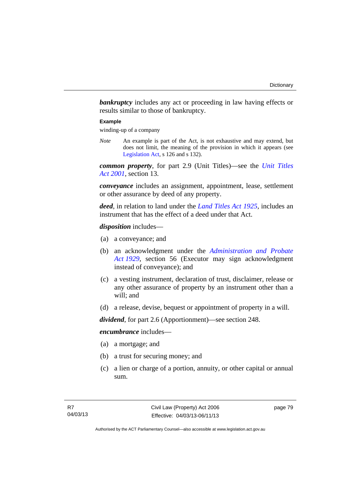**bankruptcy** includes any act or proceeding in law having effects or results similar to those of bankruptcy.

#### **Example**

winding-up of a company

*Note* An example is part of the Act, is not exhaustive and may extend, but does not limit, the meaning of the provision in which it appears (see [Legislation Act,](http://www.legislation.act.gov.au/a/2001-14) s 126 and s 132).

*common property*, for part 2.9 (Unit Titles)—see the *[Unit Titles](http://www.legislation.act.gov.au/a/2001-16)  [Act 2001](http://www.legislation.act.gov.au/a/2001-16)*, section 13.

*conveyance* includes an assignment, appointment, lease, settlement or other assurance by deed of any property.

*deed*, in relation to land under the *[Land Titles Act 1925](http://www.legislation.act.gov.au/a/1925-1)*, includes an instrument that has the effect of a deed under that Act.

*disposition* includes—

- (a) a conveyance; and
- (b) an acknowledgment under the *[Administration and Probate](http://www.legislation.act.gov.au/a/1929-18)  [Act 1929](http://www.legislation.act.gov.au/a/1929-18)*, section 56 (Executor may sign acknowledgment instead of conveyance); and
- (c) a vesting instrument, declaration of trust, disclaimer, release or any other assurance of property by an instrument other than a will; and
- (d) a release, devise, bequest or appointment of property in a will.

*dividend*, for part 2.6 (Apportionment)—see section 248.

*encumbrance* includes—

- (a) a mortgage; and
- (b) a trust for securing money; and
- (c) a lien or charge of a portion, annuity, or other capital or annual sum.

page 79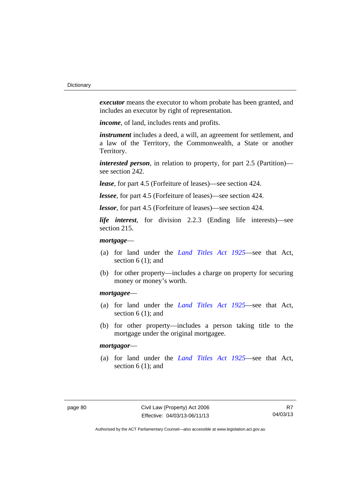*executor* means the executor to whom probate has been granted, and includes an executor by right of representation.

*income*, of land, includes rents and profits.

*instrument* includes a deed, a will, an agreement for settlement, and a law of the Territory, the Commonwealth, a State or another Territory.

*interested person*, in relation to property, for part 2.5 (Partition) see section 242.

*lease*, for part 4.5 (Forfeiture of leases)—see section 424.

*lessee*, for part 4.5 (Forfeiture of leases)—see section 424.

*lessor*, for part 4.5 (Forfeiture of leases)—see section 424.

*life interest*, for division 2.2.3 (Ending life interests)—see section 215.

## *mortgage*—

- (a) for land under the *[Land Titles Act 1925](http://www.legislation.act.gov.au/a/1925-1)*—see that Act, section 6 (1); and
- (b) for other property—includes a charge on property for securing money or money's worth.

## *mortgagee*—

- (a) for land under the *[Land Titles Act 1925](http://www.legislation.act.gov.au/a/1925-1)*—see that Act, section 6 (1); and
- (b) for other property—includes a person taking title to the mortgage under the original mortgagee.

## *mortgagor*—

 (a) for land under the *[Land Titles Act 1925](http://www.legislation.act.gov.au/a/1925-1)*—see that Act, section 6 (1); and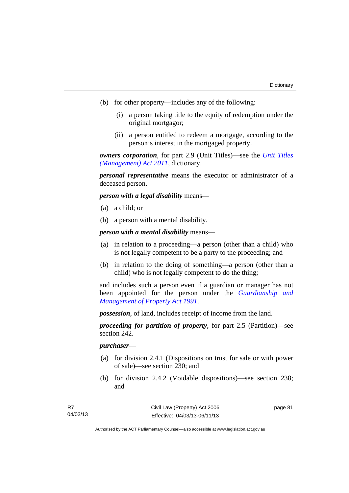- (b) for other property—includes any of the following:
	- (i) a person taking title to the equity of redemption under the original mortgagor;
	- (ii) a person entitled to redeem a mortgage, according to the person's interest in the mortgaged property.

*owners corporation*, for part 2.9 (Unit Titles)—see the *[Unit Titles](http://www.legislation.act.gov.au/a/2011-41)  [\(Management\) Act 2011](http://www.legislation.act.gov.au/a/2011-41)*, dictionary.

*personal representative* means the executor or administrator of a deceased person.

*person with a legal disability* means—

- (a) a child; or
- (b) a person with a mental disability.

*person with a mental disability* means—

- (a) in relation to a proceeding—a person (other than a child) who is not legally competent to be a party to the proceeding; and
- (b) in relation to the doing of something—a person (other than a child) who is not legally competent to do the thing;

and includes such a person even if a guardian or manager has not been appointed for the person under the *[Guardianship and](http://www.legislation.act.gov.au/a/1991-62)  [Management of Property Act 1991](http://www.legislation.act.gov.au/a/1991-62)*.

*possession*, of land, includes receipt of income from the land.

*proceeding for partition of property*, for part 2.5 (Partition)—see section 242.

### *purchaser*—

- (a) for division 2.4.1 (Dispositions on trust for sale or with power of sale)—see section 230; and
- (b) for division 2.4.2 (Voidable dispositions)—see section 238; and

page 81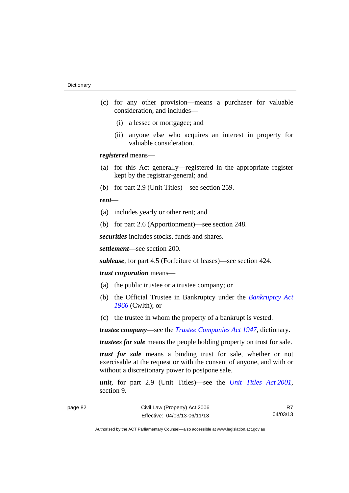- (c) for any other provision—means a purchaser for valuable consideration, and includes—
	- (i) a lessee or mortgagee; and
	- (ii) anyone else who acquires an interest in property for valuable consideration.

*registered* means—

- (a) for this Act generally—registered in the appropriate register kept by the registrar-general; and
- (b) for part 2.9 (Unit Titles)—see section 259.

### *rent*—

- (a) includes yearly or other rent; and
- (b) for part 2.6 (Apportionment)—see section 248.

*securities* includes stocks, funds and shares.

*settlement*—see section 200.

*sublease*, for part 4.5 (Forfeiture of leases)—see section 424.

### *trust corporation* means—

- (a) the public trustee or a trustee company; or
- (b) the Official Trustee in Bankruptcy under the *[Bankruptcy Act](http://www.comlaw.gov.au/Series/C2004A07422)  [1966](http://www.comlaw.gov.au/Series/C2004A07422)* (Cwlth); or
- (c) the trustee in whom the property of a bankrupt is vested.

*trustee company*—see the *[Trustee Companies Act 1947](http://www.legislation.act.gov.au/a/1947-15)*, dictionary.

*trustees for sale* means the people holding property on trust for sale.

*trust for sale* means a binding trust for sale, whether or not exercisable at the request or with the consent of anyone, and with or without a discretionary power to postpone sale.

*unit*, for part 2.9 (Unit Titles)—see the *[Unit Titles Act 2001](http://www.legislation.act.gov.au/a/2001-16)*, section 9.

R7 04/03/13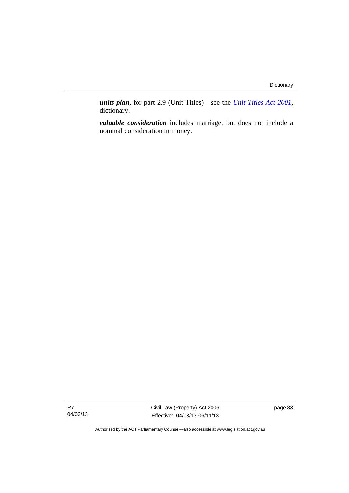*units plan*, for part 2.9 (Unit Titles)—see the *[Unit Titles Act 2001](http://www.legislation.act.gov.au/a/2001-16)*, dictionary.

*valuable consideration* includes marriage, but does not include a nominal consideration in money.

R7 04/03/13 Civil Law (Property) Act 2006 Effective: 04/03/13-06/11/13 page 83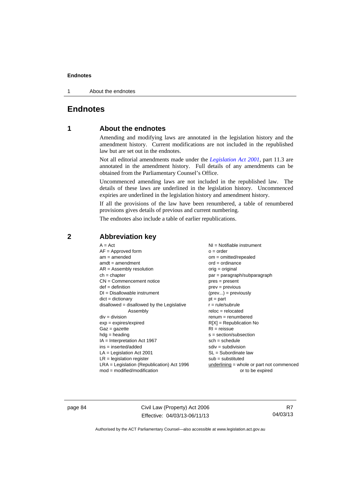1 About the endnotes

# **Endnotes**

## **1 About the endnotes**

Amending and modifying laws are annotated in the legislation history and the amendment history. Current modifications are not included in the republished law but are set out in the endnotes.

Not all editorial amendments made under the *[Legislation Act 2001](http://www.legislation.act.gov.au/a/2001-14)*, part 11.3 are annotated in the amendment history. Full details of any amendments can be obtained from the Parliamentary Counsel's Office.

Uncommenced amending laws are not included in the republished law. The details of these laws are underlined in the legislation history. Uncommenced expiries are underlined in the legislation history and amendment history.

If all the provisions of the law have been renumbered, a table of renumbered provisions gives details of previous and current numbering.

The endnotes also include a table of earlier republications.

## **2 Abbreviation key**

page 84 Civil Law (Property) Act 2006 Effective: 04/03/13-06/11/13

R7 04/03/13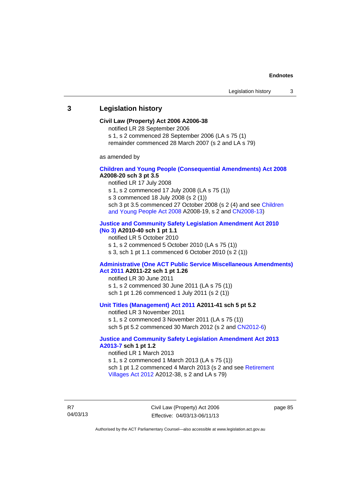## **3 Legislation history**

### **Civil Law (Property) Act 2006 A2006-38**

notified LR 28 September 2006

s 1, s 2 commenced 28 September 2006 (LA s 75 (1)

remainder commenced 28 March 2007 (s 2 and LA s 79)

as amended by

### **[Children and Young People \(Consequential Amendments\) Act 2008](http://www.legislation.act.gov.au/a/2008-20) A2008-20 sch 3 pt 3.5**

notified LR 17 July 2008

s 1, s 2 commenced 17 July 2008 (LA s 75 (1))

s 3 commenced 18 July 2008 (s 2 (1))

sch 3 pt 3.5 commenced 27 October 2008 (s 2 (4) and see [Children](http://www.legislation.act.gov.au/a/2008-19)  [and Young People Act 2008](http://www.legislation.act.gov.au/a/2008-19) A2008-19, s 2 and [CN2008-13](http://www.legislation.act.gov.au/cn/2008-13/default.asp))

#### **[Justice and Community Safety Legislation Amendment Act 2010](http://www.legislation.act.gov.au/a/2010-40)  [\(No 3\)](http://www.legislation.act.gov.au/a/2010-40) A2010-40 sch 1 pt 1.1**

notified LR 5 October 2010

s 1, s 2 commenced 5 October 2010 (LA s 75 (1))

s 3, sch 1 pt 1.1 commenced 6 October 2010 (s 2 (1))

#### **[Administrative \(One ACT Public Service Miscellaneous Amendments\)](http://www.legislation.act.gov.au/a/2011-22)  [Act 2011](http://www.legislation.act.gov.au/a/2011-22) A2011-22 sch 1 pt 1.26**

notified LR 30 June 2011 s 1, s 2 commenced 30 June 2011 (LA s 75 (1)) sch 1 pt 1.26 commenced 1 July 2011 (s 2 (1))

### **[Unit Titles \(Management\) Act 2011](http://www.legislation.act.gov.au/a/2011-41) A2011-41 sch 5 pt 5.2**

notified LR 3 November 2011 s 1, s 2 commenced 3 November 2011 (LA s 75 (1)) sch 5 pt 5.2 commenced 30 March 2012 (s 2 and [CN2012-6\)](http://www.legislation.act.gov.au/cn/2012-6/default.asp)

### **[Justice and Community Safety Legislation Amendment Act 2013](http://www.legislation.act.gov.au/a/2013-7/default.asp)  [A2013-7](http://www.legislation.act.gov.au/a/2013-7/default.asp) sch 1 pt 1.2**

notified LR 1 March 2013 s 1, s 2 commenced 1 March 2013 (LA s 75 (1)) sch 1 pt 1.2 commenced 4 March 2013 (s 2 and see [Retirement](http://www.legislation.act.gov.au/a/2012-38)  [Villages Act 2012](http://www.legislation.act.gov.au/a/2012-38) A2012-38, s 2 and LA s 79)

R7 04/03/13 Civil Law (Property) Act 2006 Effective: 04/03/13-06/11/13 page 85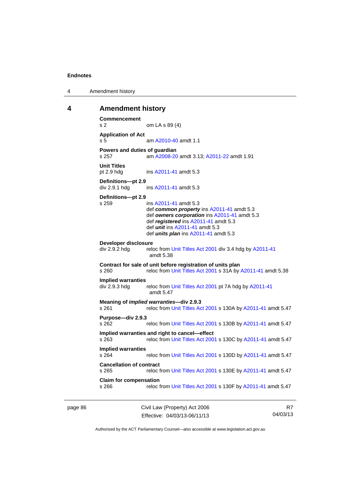4 Amendment history

### **4 Amendment history**

```
Commencement 
s 2 om LA s 89 (4) 
Application of Act 
s 5 am A2010-40 amdt 1.1
Powers and duties of guardian 
s 257 am A2008-20 amdt 3.13; A2011-22 amdt 1.91 
Unit Titles 
pt 2.9 hdg ins A2011-41 amdt 5.3 
Definitions—pt 2.9 
A2011-41 amdt 5.3
Definitions—pt 2.9 
s 259 ins A2011-41 amdt 5.3 
                 def common property ins A2011-41 amdt 5.3 
                 def owners corporation ins A2011-41 amdt 5.3 
                 def registered ins A2011-41 amdt 5.3 
                 def unit ins A2011-41 amdt 5.3 
                 def units plan ins A2011-41 amdt 5.3 
Developer disclosure 
 Unit Titles Act 2001 A2011-41
                 amdt 5.38
Contract for sale of unit before registration of units plan 
s 260 reloc from Unit Titles Act 2001 s 31A by A2011-41 amdt 5.38 
Implied warranties 
                 Unit Titles Act 2001  A2011-41
                 amdt 5.47
Meaning of implied warranties—div 2.9.3 
 Unit Titles Act 2001 A2011-41 amdt 5.47
Purpose—div 2.9.3 
s 262 reloc from Unit Titles Act 2001 s 130B by A2011-41 amdt 5.47 
Implied warranties and right to cancel—effect 
s 263 reloc from Unit Titles Act 2001 s 130C by A2011-41 amdt 5.47 
Implied warranties 
                 Unit Titles Act 2001  A2011-41 amdt 5.47
Cancellation of contract 
s 265 reloc from Unit Titles Act 2001 s 130E by A2011-41 amdt 5.47 
Claim for compensation 
s 266 reloc from Unit Titles Act 2001 s 130F by A2011-41 amdt 5.47
```
page 86 Civil Law (Property) Act 2006 Effective: 04/03/13-06/11/13

R7 04/03/13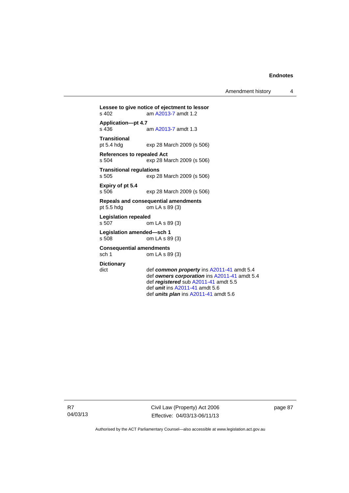Amendment history 4

**Lessee to give notice of ejectment to lessor**  am [A2013-7](http://www.legislation.act.gov.au/a/2013-7/default.asp) amdt 1.2 **Application—pt 4.7**  am [A2013-7](http://www.legislation.act.gov.au/a/2013-7/default.asp) amdt 1.3 **Transitional**  exp 28 March 2009 (s 506) **References to repealed Act**  s 504 exp 28 March 2009 (s 506) **Transitional regulations**  exp 28 March 2009 (s 506) **Expiry of pt 5.4**  s 506 exp 28 March 2009 (s 506) **Repeals and consequential amendments**  pt 5.5 hdg om LA s 89 (3) **Legislation repealed**  s 507 om LA s 89 (3) **Legislation amended—sch 1**  s 508 om LA s 89 (3) **Consequential amendments**  sch 1 om LA s 89 (3) **Dictionary**  dict def *common property* ins [A2011-41](http://www.legislation.act.gov.au/a/2011-41) amdt 5.4 def *owners corporation* ins [A2011-41](http://www.legislation.act.gov.au/a/2011-41) amdt 5.4 def *registered* sub [A2011-41](http://www.legislation.act.gov.au/a/2011-41) amdt 5.5 def *unit* ins [A2011-41](http://www.legislation.act.gov.au/a/2011-41) amdt 5.6

R7 04/03/13 Civil Law (Property) Act 2006 Effective: 04/03/13-06/11/13

def *units plan* ins [A2011-41](http://www.legislation.act.gov.au/a/2011-41) amdt 5.6

page 87